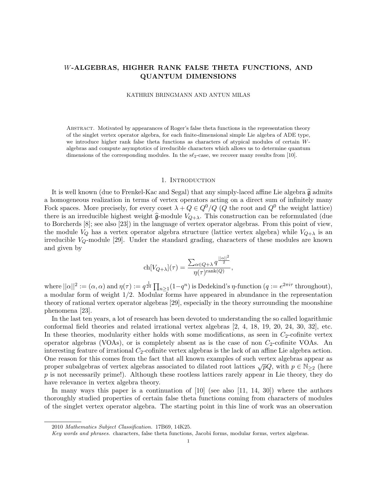# W-ALGEBRAS, HIGHER RANK FALSE THETA FUNCTIONS, AND QUANTUM DIMENSIONS

#### KATHRIN BRINGMANN AND ANTUN MILAS

Abstract. Motivated by appearances of Roger's false theta functions in the representation theory of the singlet vertex operator algebra, for each finite-dimensional simple Lie algebra of ADE type, we introduce higher rank false theta functions as characters of atypical modules of certain Walgebras and compute asymptotics of irreducible characters which allows us to determine quantum dimensions of the corresponding modules. In the  $s\ell_2$ -case, we recover many results from [10].

#### 1. INTRODUCTION

It is well known (due to Frenkel-Kac and Segal) that any simply-laced affine Lie algebra  $\hat{\mathfrak{g}}$  admits a homogeneous realization in terms of vertex operators acting on a direct sum of infinitely many Fock spaces. More precisely, for every coset  $\lambda + Q \in Q^0/Q$  (Q the root and  $Q^0$  the weight lattice) there is an irreducible highest weight  $\hat{\mathfrak{g}}$ -module  $V_{Q+\lambda}$ . This construction can be reformulated (due to Borcherds [8]; see also [23]) in the language of vertex operator algebras. From this point of view, the module  $V_Q$  has a vertex operator algebra structure (lattice vertex algebra) while  $V_{Q+\lambda}$  is an irreducible  $V_Q$ -module [29]. Under the standard grading, characters of these modules are known and given by

$$
\operatorname{ch}[V_{Q+\lambda}](\tau) = \frac{\sum_{\alpha \in Q+\lambda} q^{\frac{||\alpha||^2}{2}}}{\eta(\tau)^{\operatorname{rank}(Q)}},
$$

where  $||\alpha||^2 := (\alpha, \alpha)$  and  $\eta(\tau) := q^{\frac{1}{24}} \prod_{n \geq 1} (1 - q^n)$  is Dedekind's  $\eta$ -function  $(q := e^{2\pi i \tau}$  throughout), a modular form of weight 1/2. Modular forms have appeared in abundance in the representation theory of rational vertex operator algebras [29], especially in the theory surrounding the moonshine phenomena [23].

In the last ten years, a lot of research has been devoted to understanding the so called logarithmic conformal field theories and related irrational vertex algebras [2, 4, 18, 19, 20, 24, 30, 32], etc. In these theories, modularity either holds with some modifications, as seen in  $C_2$ -cofinite vertex operator algebras (VOAs), or is completely absent as is the case of non  $C_2$ -cofinite VOAs. An interesting feature of irrational  $C_2$ -cofinite vertex algebras is the lack of an affine Lie algebra action. One reason for this comes from the fact that all known examples of such vertex algebras appear as proper subalgebras of vertex algebras associated to dilated root lattices  $\sqrt{p}Q$ , with  $p \in \mathbb{N}_{\geq 2}$  (here  $p$  is not necessarily prime!). Although these rootless lattices rarely appear in Lie theory, they do have relevance in vertex algebra theory.

In many ways this paper is a continuation of  $[10]$  (see also  $[11, 14, 30]$ ) where the authors thoroughly studied properties of certain false theta functions coming from characters of modules of the singlet vertex operator algebra. The starting point in this line of work was an observation

<sup>2010</sup> Mathematics Subject Classification. 17B69, 14K25.

Key words and phrases. characters, false theta functions, Jacobi forms, modular forms, vertex algebras.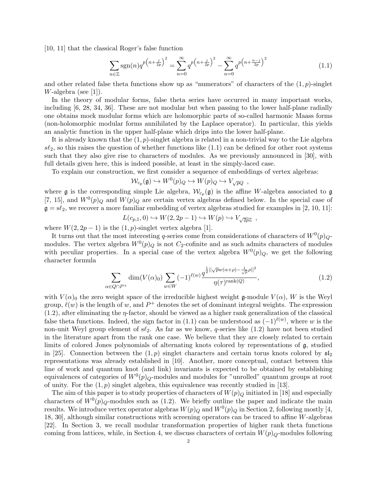[10, 11] that the classical Roger's false function

$$
\sum_{n\in\mathbb{Z}}\text{sgn}(n)q^{p\left(n+\frac{j}{2p}\right)^2} = \sum_{n=0}^{\infty}q^{p\left(n+\frac{j}{2p}\right)^2} - \sum_{n=0}^{\infty}q^{p\left(n+\frac{n-j}{2p}\right)^2}
$$
(1.1)

and other related false theta functions show up as "numerators" of characters of the  $(1, p)$ -singlet W-algebra (see [1]).

In the theory of modular forms, false theta series have occurred in many important works, including [6, 28, 34, 36]. These are not modular but when passing to the lower half-plane radially one obtains mock modular forms which are holomorphic parts of so-called harmonic Maass forms (non-holomorphic modular forms annihilated by the Laplace operator). In particular, this yields an analytic function in the upper half-plane which drips into the lower half-plane.

It is already known that the  $(1, p)$ -singlet algebra is related in a non-trivial way to the Lie algebra  $s\ell_2$ , so this raises the question of whether functions like  $(1.1)$  can be defined for other root systems such that they also give rise to characters of modules. As we previously announced in [30], with full details given here, this is indeed possible, at least in the simply-laced case.

To explain our construction, we first consider a sequence of embeddings of vertex algebras:

$$
\mathcal{W}_{c_p}(\mathfrak{g}) \hookrightarrow W^0(p)_Q \hookrightarrow W(p)_Q \hookrightarrow V_{\sqrt{p}Q} ,
$$

where  $\mathfrak g$  is the corresponding simple Lie algebra,  $\mathcal W_{c_p}(\mathfrak g)$  is the affine W-algebra associated to  $\mathfrak g$ [7, 15], and  $W^0(p)_Q$  and  $W(p)_Q$  are certain vertex algebras defined below. In the special case of  $\mathfrak{g} = s\ell_2$ , we recover a more familiar embedding of vertex algebras studied for examples in [2, 10, 11]:

$$
L(c_{p,1},0) \hookrightarrow W(2,2p-1) \hookrightarrow W(p) \hookrightarrow V_{\sqrt{2p}\mathbb{Z}} ,
$$

where  $W(2, 2p-1)$  is the  $(1, p)$ -singlet vertex algebra [1].

It turns out that the most interesting q-series come from considerations of characters of  $W^0(p)_{Q}$ modules. The vertex algebra  $W^0(p)_Q$  is not C<sub>2</sub>-cofinite and as such admits characters of modules with peculiar properties. In a special case of the vertex algebra  $W^0(p)_Q$ , we get the following character formula

$$
\sum_{\alpha \in Q \cap P^+} \dim(V(\alpha)_0) \sum_{w \in W} (-1)^{\ell(w)} \frac{q^{\frac{1}{2} ||\sqrt{p}w(\alpha+\rho)-\frac{1}{\sqrt{p}}\rho||^2}}{\eta(\tau)^{\text{rank}(Q)}},\tag{1.2}
$$

with  $V(\alpha)$ <sub>0</sub> the zero weight space of the irreducible highest weight g-module  $V(\alpha)$ , W is the Weyl group,  $\ell(w)$  is the length of w, and  $P^+$  denotes the set of dominant integral weights. The expression  $(1.2)$ , after eliminating the  $\eta$ -factor, should be viewed as a higher rank generalization of the classical false theta functions. Indeed, the sign factor in (1.1) can be understood as  $(-1)^{\ell(w)}$ , where w is the non-unit Weyl group element of  $s\ell_2$ . As far as we know, q-series like (1.2) have not been studied in the literature apart from the rank one case. We believe that they are closely related to certain limits of colored Jones polynomials of alternating knots colored by representations of g, studied in [25]. Connection between the  $(1, p)$  singlet characters and certain torus knots colored by  $\mathfrak{sl}_2$ representations was already established in [10]. Another, more conceptual, contact between this line of work and quantum knot (and link) invariants is expected to be obtained by establishing equivalences of categories of  $W^0(p)_Q$ -modules and modules for "unrolled" quantum groups at root of unity. For the  $(1, p)$  singlet algebra, this equivalence was recently studied in [13].

The aim of this paper is to study properties of characters of  $W(p)_Q$  initiated in [18] and especially characters of  $W^0(p)_{Q}$ -modules such as (1.2). We briefly outline the paper and indicate the main results. We introduce vertex operator algebras  $W(p)_Q$  and  $W^0(p)_Q$  in Section 2, following mostly [4, 18, 30], although similar constructions with screening operators can be traced to affine W-algebras [22]. In Section 3, we recall modular transformation properties of higher rank theta functions coming from lattices, while, in Section 4, we discuss characters of certain  $W(p)<sub>O</sub>$ -modules following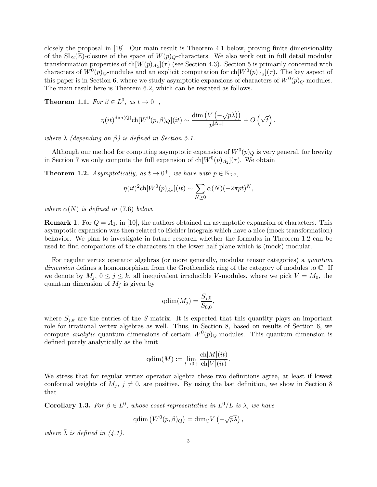closely the proposal in [18]. Our main result is Theorem 4.1 below, proving finite-dimensionality of the  $SL_2(\mathbb{Z})$ -closure of the space of  $W(p)_Q$ -characters. We also work out in full detail modular transformation properties of  $\text{ch}[W(p)_{A_2}](\tau)$  (see Section 4.3). Section 5 is primarily concerned with characters of  $W^0(p)_{Q}$ -modules and an explicit computation for ch $[W^0(p)_{A_2}](\tau)$ . The key aspect of this paper is in Section 6, where we study asymptotic expansions of characters of  $W^0(p)_Q$ -modules. The main result here is Theorem 6.2, which can be restated as follows.

**Theorem 1.1.** For  $\beta \in L^0$ , as  $t \to 0^+$ ,

$$
\eta(it)^{\dim(Q)} \text{ch}[W^0(p,\beta)_{Q}](it) \sim \frac{\dim(V(-\sqrt{p\lambda}))}{p^{|\Delta_+|}} + O\left(\sqrt{t}\right).
$$

where  $\overline{\lambda}$  (depending on  $\beta$ ) is defined in Section 5.1.

Although our method for computing asymptotic expansion of  $W^0(p)_Q$  is very general, for brevity in Section 7 we only compute the full expansion of  $\text{ch}[W^0(p)_{A_2}](\tau)$ . We obtain

**Theorem 1.2.** Asymptotically, as  $t \to 0^+$ , we have with  $p \in \mathbb{N}_{\geq 2}$ ,

$$
\eta(it)^{2} \text{ch}[W^{0}(p)_{A_2}](it) \sim \sum_{N \geq 0} \alpha(N)(-2\pi pt)^{N},
$$

where  $\alpha(N)$  is defined in (7.6) below.

**Remark 1.** For  $Q = A_1$ , in [10], the authors obtained an asymptotic expansion of characters. This asymptotic expansion was then related to Eichler integrals which have a nice (mock transformation) behavior. We plan to investigate in future research whether the formulas in Theorem 1.2 can be used to find companions of the characters in the lower half-plane which is (mock) modular.

For regular vertex operator algebras (or more generally, modular tensor categories) a quantum dimension defines a homomorphism from the Grothendick ring of the category of modules to  $\mathbb{C}$ . If we denote by  $M_j$ ,  $0 \le j \le k$ , all inequivalent irreducible V-modules, where we pick  $V = M_0$ , the quantum dimension of  $M_i$  is given by

$$
\mathrm{qdim}(M_j) = \frac{S_{j,0}}{S_{0,0}},
$$

where  $S_{j,k}$  are the entries of the S-matrix. It is expected that this quantity plays an important role for irrational vertex algebras as well. Thus, in Section 8, based on results of Section 6, we compute *analytic* quantum dimensions of certain  $W^0(p)_Q$ -modules. This quantum dimension is defined purely analytically as the limit

$$
\mathrm{qdim}(M) := \lim_{t \to 0+} \frac{\mathrm{ch}[M](it)}{\mathrm{ch}[V](it)}.
$$

We stress that for regular vertex operator algebra these two definitions agree, at least if lowest conformal weights of  $M_j$ ,  $j \neq 0$ , are positive. By using the last definition, we show in Section 8 that

**Corollary 1.3.** For  $\beta \in L^0$ , whose coset representative in  $L^0/L$  is  $\lambda$ , we have

$$
\mathrm{qdim} \left( W^0(p, \beta)_Q \right) = \mathrm{dim}_{\mathbb{C}} V \left( -\sqrt{p}\overline{\lambda} \right),
$$

where  $\bar{\lambda}$  is defined in (4.1).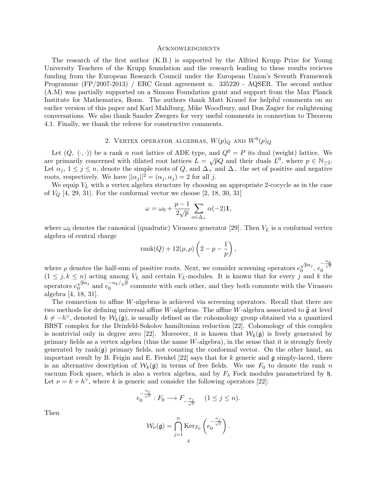#### **ACKNOWLEDGMENTS**

The research of the first author (K.B.) is supported by the Alfried Krupp Prize for Young University Teachers of the Krupp foundation and the research leading to these results recieves funding from the European Research Council under the European Union's Seventh Framework Programme (FP/2007-2013) / ERC Grant agreement n. 335220 - AQSER. The second author (A.M) was partially supported on a Simons Foundation grant and support from the Max Planck Institute for Mathematics, Bonn. The authors thank Matt Krauel for helpful comments on an earlier version of this paper and Karl Mahlburg, Mike Woodbury, and Don Zagier for enlightening conversations. We also thank Sander Zwegers for very useful comments in connection to Theorem 4.1. Finally, we thank the referee for constructive comments.

# 2. VERTEX OPERATOR ALGEBRAS,  $W(p)_Q$  and  $W^0(p)_Q$

Let  $(Q, \langle \cdot, \cdot \rangle)$  be a rank n root lattice of ADE type, and  $Q^0 = P$  its dual (weight) lattice. We Let  $(Q, \langle \cdot, \cdot \rangle)$  be a rain *n* root lattice of ADE type, and  $Q = I$  its dual (weight) lattice. We<br>are primarily concerned with dilated root lattices  $L = \sqrt{p}Q$  and their duals  $L^0$ , where  $p \in \mathbb{N}_{\geq 2}$ . Let  $\alpha_j$ ,  $1 \leq j \leq n$ , denote the simple roots of Q, and  $\Delta_+$  and  $\Delta_-$  the set of positive and negative roots, respectively. We have  $||\alpha_j||^2 = (\alpha_j, \alpha_j) = 2$  for all j.

We equip  $V_L$  with a vertex algebra structure by choosing an appropriate 2-cocycle as in the case of  $V_Q$  [4, 29, 31]. For the conformal vector we choose [2, 18, 30, 31]

$$
\omega = \omega_0 + \frac{p-1}{2\sqrt{p}} \sum_{\alpha \in \Delta_+} \alpha(-2) \mathbf{1},
$$

where  $\omega_0$  denotes the canonical (quadratic) Virasoro generator [29]. Then  $V_L$  is a conformal vertex algebra of central charge

$$
rank(Q) + 12(\rho, \rho) \left(2 - p - \frac{1}{p}\right),
$$

where  $\rho$  denotes the half-sum of positive roots. Next, we consider screening operators  $e_0^{\sqrt{p}\alpha_j}$  $\sqrt{p}\alpha_j, e_0^{-\frac{\alpha_k}{\sqrt{p}}}$  $(1 \leq j, k \leq n)$  acting among  $V_L$  and certain  $V_L$ -modules. It is known that for every j and k the  $\alpha$  operators  $e_0^{\sqrt{p}\alpha_j}$  $\sqrt{p}\alpha_j$  and  $e_0^{-\alpha_k/\sqrt{p}}$  $\frac{C_{k}}{Q}$  commute with each other, and they both commute with the Virasoro algebra [4, 18, 31].

The connection to affine W-algebras is achieved via screening operators. Recall that there are two methods for defining universal affine W-algebras. The affine W-algebra associated to  $\hat{\mathfrak{g}}$  at level  $k \neq -h^{\vee}$ , denoted by  $\mathcal{W}_k(\mathfrak{g})$ , is usually defined as the cohomology group obtained via a quantized BRST complex for the Drinfeld-Sokolov hamiltonian reduction [22]. Cohomology of this complex is nontrivial only in degree zero [22]. Moreover, it is known that  $W_k(\mathfrak{g})$  is freely generated by primary fields as a vertex algebra (thus the name W-algebra), in the sense that it is strongly freely generated by rank $(q)$  primary fields, not counting the conformal vector. On the other hand, an important result by B. Feigin and E. Frenkel  $[22]$  says that for k generic and g simply-laced, there is an alternative description of  $W_k(\mathfrak{g})$  in terms of free fields. We use  $F_0$  to denote the rank n vacuum Fock space, which is also a vertex algebra, and by  $F_{\lambda}$  Fock modules parametrized by h. Let  $\nu = k + h^{\vee}$ , where k is generic and consider the following operators [22]:

$$
e_0^{-\frac{\alpha_j}{\sqrt{\nu}}}: F_0 \longrightarrow F_{-\frac{\alpha_j}{\sqrt{\nu}}} \quad (1 \leq j \leq n).
$$

Then

$$
\mathcal{W}_{\nu}(\mathfrak{g}) = \bigcap_{j=1}^{n} \text{Ker}_{F_{0}}\left(e_{0}^{-\frac{\alpha_{j}}{\sqrt{\nu}}}\right).
$$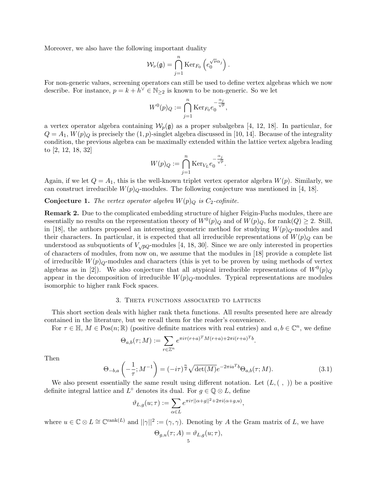Moreover, we also have the following important duality

$$
\mathcal{W}_{\nu}(\mathfrak{g}) = \bigcap_{j=1}^n \mathrm{Ker}_{F_0} \left( e_0^{\sqrt{\nu} \alpha_j} \right).
$$

For non-generic values, screening operators can still be used to define vertex algebras which we now describe. For instance,  $p = k + \overline{h}^{\vee} \in \mathbb{N}_{\geq 2}$  is known to be non-generic. So we let

$$
W^0(p)_Q := \bigcap_{j=1}^n \mathrm{Ker}_{F_0} e_0^{-\frac{\alpha_j}{\sqrt{p}}},
$$

a vertex operator algebra containing  $W_p(\mathfrak{g})$  as a proper subalgebra [4, 12, 18]. In particular, for  $Q = A_1, W(p)_Q$  is precisely the  $(1, p)$ -singlet algebra discussed in [10, 14]. Because of the integrality condition, the previous algebra can be maximally extended within the lattice vertex algebra leading to [2, 12, 18, 32]

$$
W(p)_Q := \bigcap_{j=1}^n \mathrm{Ker}_{V_L} e_0^{-\frac{\alpha_j}{\sqrt{p}}}.
$$

Again, if we let  $Q = A_1$ , this is the well-known triplet vertex operator algebra  $W(p)$ . Similarly, we can construct irreducible  $W(p)_{Q}$ -modules. The following conjecture was mentioned in [4, 18].

**Conjecture 1.** The vertex operator algebra  $W(p)$ <sub>Q</sub> is  $C_2$ -cofinite.

Remark 2. Due to the complicated embedding structure of higher Feigin-Fuchs modules, there are essentially no results on the representation theory of  $W<sup>0</sup>(p)_{Q}$  and of  $W(p)_{Q}$ , for rank $(Q) \geq 2$ . Still, in [18], the authors proposed an interesting geometric method for studying  $W(p)_{Q}$ -modules and their characters. In particular, it is expected that all irreducible representations of  $W(p)_Q$  can be understood as subquotients of  $V_{\sqrt{p}Q}$ -modules [4, 18, 30]. Since we are only interested in properties of characters of modules, from now on, we assume that the modules in [18] provide a complete list of irreducible  $W(p)_{\mathcal{O}}$ -modules and characters (this is yet to be proven by using methods of vertex algebras as in [2]). We also conjecture that all atypical irreducible representations of  $W^0(p)_Q$ appear in the decomposition of irreducible  $W(p)_Q$ -modules. Typical representations are modules isomorphic to higher rank Fock spaces.

#### 3. Theta functions associated to lattices

This short section deals with higher rank theta functions. All results presented here are already contained in the literature, but we recall them for the reader's convenience.

For  $\tau \in \mathbb{H}$ ,  $M \in \text{Pos}(n;\mathbb{R})$  (positive definite matrices with real entries) and  $a, b \in \mathbb{C}^n$ , we define

$$
\Theta_{a,b}(\tau;M) := \sum_{r \in \mathbb{Z}^n} e^{\pi i \tau (r+a)^T M (r+a) + 2\pi i (r+a)^T b}.
$$

Then

$$
\Theta_{-b,a}\left(-\frac{1}{\tau};M^{-1}\right) = (-i\tau)^{\frac{n}{2}}\sqrt{\det(M)}e^{-2\pi i a^T b}\Theta_{a,b}(\tau;M). \tag{3.1}
$$

We also present essentially the same result using different notation. Let  $(L, ( , ))$  be a positive definite integral lattice and  $L^{\circ}$  denotes its dual. For  $g \in \mathbb{Q} \otimes L$ , define

$$
\vartheta_{L,g}(u;\tau) := \sum_{\alpha \in L} e^{\pi i \tau ||\alpha + g||^2 + 2\pi i (\alpha + g, u)},
$$

where  $u \in \mathbb{C} \otimes L \cong \mathbb{C}^{\text{rank}(L)}$  and  $||\gamma||^2 := (\gamma, \gamma)$ . Denoting by A the Gram matrix of L, we have

$$
\Theta_{g,u}(\tau;A) = \vartheta_{L,g}(u;\tau),
$$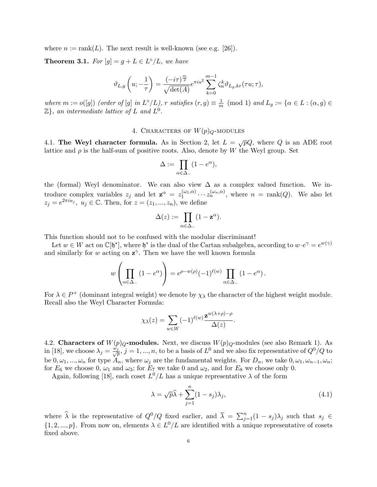where  $n := \operatorname{rank}(L)$ . The next result is well-known (see e.g. [26]).

**Theorem 3.1.** For  $[g] = g + L \in L^{\circ}/L$ , we have

$$
\vartheta_{L,g}\left(u;-\frac{1}{\tau}\right)=\frac{(-i\tau)^{\frac{m}{2}}}{\sqrt{\det(A)}}e^{\pi i u^2}\sum_{k=0}^{m-1}\zeta_n^k\vartheta_{L_g,kr}(\tau u;\tau),
$$

where  $m := o([g])$  (order of [g] in  $L^{\circ}/L$ ), r satisfies  $(r, g) \equiv \frac{1}{r}$  $\frac{1}{m} \pmod{1}$  and  $L_g := \{ \alpha \in L : (\alpha, g) \in$  $\mathbb{Z}$ , an intermediate lattice of L and  $L^0$ .

# 4. CHARACTERS OF  $W(p)_Q$ -MODULES

4.1. The Weyl character formula. As in Section 2, let  $L = \sqrt{p}Q$ , where Q is an ADE root lattice and  $\rho$  is the half-sum of positive roots. Also, denote by W the Weyl group. Set

$$
\Delta := \prod_{\alpha \in \Delta_-} (1 - e^{\alpha}),
$$

the (formal) Weyl denominator. We can also view  $\Delta$  as a complex valued function. We introduce complex variables  $z_j$  and let  $\mathbf{z}^{\alpha} = z_1^{(\omega_1,\alpha)}$  $\chi_1^{(\omega_1,\alpha)}\cdots\chi_n^{(\omega_n,\alpha)}$ , where  $n = \text{rank}(Q)$ . We also let  $z_j = e^{2\pi i u_j}, u_j \in \mathbb{C}$ . Then, for  $z = (z_1, ..., z_n)$ , we define

$$
\Delta(z) := \prod_{\alpha \in \Delta_-} (1 - \mathbf{z}^{\alpha}).
$$

This function should not to be confused with the modular discriminant!

Let  $w \in W$  act on  $\mathbb{C}[\mathfrak{h}^*]$ , where  $\mathfrak{h}^*$  is the dual of the Cartan subalgebra, according to  $w \cdot e^{\gamma} = e^{w(\gamma)}$ and similarly for w acting on  $z^{\gamma}$ . Then we have the well known formula

$$
w\left(\prod_{\alpha\in\Delta_-} (1-e^{\alpha})\right) = e^{\rho-w(\rho)}(-1)^{\ell(w)}\prod_{\alpha\in\Delta_-} (1-e^{\alpha}).
$$

For  $\lambda \in P^+$  (dominant integral weight) we denote by  $\chi_{\lambda}$  the character of the highest weight module. Recall also the Weyl Character Formula:

$$
\chi_{\lambda}(z) = \sum_{w \in W} (-1)^{\ell(w)} \frac{\mathbf{z}^{w(\lambda+\rho)-\rho}}{\Delta(z)}.
$$

4.2. Characters of  $W(p)_{Q}$ -modules. Next, we discuss  $W(p)_{Q}$ -modules (see also Remark 1). As in [18], we choose  $\lambda_j = \frac{\tilde{\omega}_j}{\sqrt{j}}$  $\frac{p}{p}$ ,  $j = 1, ..., n$ , to be a basis of  $L^0$  and we also fix representative of  $Q^0/Q$  to be  $0, \omega_1, ..., \omega_n$  for type  $A_n$ , where  $\omega_j$  are the fundamental weights. For  $D_n$ , we take  $0, \omega_1, \omega_{n-1}, \omega_n$ ; for  $E_6$  we choose 0,  $\omega_1$  and  $\omega_3$ ; for  $E_7$  we take 0 and  $\omega_2$ , and for  $E_8$  we choose only 0.

Again, following [18], each coset  $L^0/L$  has a unique representative  $\lambda$  of the form

$$
\lambda = \sqrt{p}\widehat{\lambda} + \sum_{j=1}^{n} (1 - s_j)\lambda_j,
$$
\n(4.1)

where  $\hat{\lambda}$  is the representative of  $Q^0/Q$  fixed earlier, and  $\overline{\lambda} = \sum_{j=1}^n (1 - s_j)\lambda_j$  such that  $s_j \in$  $\{1, 2, ..., p\}$ . From now on, elements  $\lambda \in L^0/L$  are identified with a unique representative of cosets fixed above.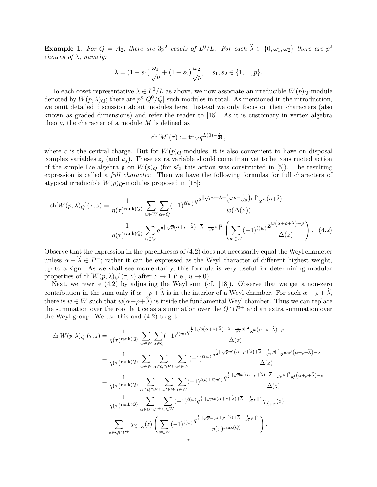**Example 1.** For  $Q = A_2$ , there are  $3p^2$  cosets of  $L^0/L$ . For each  $\widehat{\lambda} \in \{0, \omega_1, \omega_2\}$  there are  $p^2$ choices of  $\overline{\lambda}$ , namely:

$$
\overline{\lambda} = (1 - s_1) \frac{\omega_1}{\sqrt{p}} + (1 - s_2) \frac{\omega_2}{\sqrt{p}}, \quad s_1, s_2 \in \{1, ..., p\}.
$$

To each coset representative  $\lambda \in L^0/L$  as above, we now associate an irreducible  $W(p)_Q$ -module denoted by  $W(p, \lambda)_{Q}$ ; there are  $p^{n}|Q^{0}/Q|$  such modules in total. As mentioned in the introduction, we omit detailed discussion about modules here. Instead we only focus on their characters (also known as graded dimensions) and refer the reader to [18]. As it is customary in vertex algebra theory, the character of a module  $M$  is defined as

$$
ch[M](\tau) := \text{tr}_M q^{L(0) - \frac{c}{24}},
$$

where c is the central charge. But for  $W(p)_{Q}$ -modules, it is also convenient to have on disposal complex variables  $z_i$  (and  $u_i$ ). These extra variable should come from yet to be constructed action of the simple Lie algebra g on  $W(p)_Q$  (for  $s\ell_2$  this action was constructed in [5]). The resulting expression is called a full character. Then we have the following formulas for full characters of atypical irreducible  $W(p)_Q$ -modules proposed in [18]:

$$
\operatorname{ch}[W(p,\lambda)_{Q}](\tau,z) = \frac{1}{\eta(\tau)^{\operatorname{rank}(Q)}} \sum_{w \in W} \sum_{\alpha \in Q} (-1)^{\ell(w)} \frac{q^{\frac{1}{2}||\sqrt{p}\alpha + \lambda + (\sqrt{p} - \frac{1}{\sqrt{p}})\rho||^{2}} \mathbf{z}^{w(\alpha+\widehat{\lambda})}}{w(\Delta(z))}
$$

$$
= \frac{1}{\eta(\tau)^{\operatorname{rank}(Q)}} \sum_{\alpha \in Q} q^{\frac{1}{2}||\sqrt{p}(\alpha + \rho + \widehat{\lambda}) + \overline{\lambda} - \frac{1}{\sqrt{p}}\rho||^{2}} \left(\sum_{w \in W} (-1)^{\ell(w)} \frac{\mathbf{z}^{w(\alpha + \rho + \widehat{\lambda}) - \rho}}{\Delta(z)}\right). \tag{4.2}
$$

Observe that the expression in the parentheses of (4.2) does not necessarily equal the Weyl character unless  $\alpha + \widehat{\lambda} \in P^+$ ; rather it can be expressed as the Weyl character of different highest weight, up to a sign. As we shall see momentarily, this formula is very useful for determining modular properties of ch $[W(p,\lambda)_Q](\tau,z)$  after  $z \to 1$  (i.e.,  $u \to 0$ ).

Next, we rewrite (4.2) by adjusting the Weyl sum (cf. [18]). Observe that we get a non-zero contribution in the sum only if  $\alpha + \rho + \widehat{\lambda}$  is in the interior of a Weyl chamber. For such  $\alpha + \rho + \widehat{\lambda}$ , there is  $w \in W$  such that  $w(\alpha + \rho + \widehat{\lambda})$  is inside the fundamental Weyl chamber. Thus we can replace the summation over the root lattice as a summation over the  $Q \cap P^+$  and an extra summation over the Weyl group. We use this and (4.2) to get

$$
\operatorname{ch}[W(p,\lambda)_{Q}](\tau,z) = \frac{1}{\eta(\tau)^{\operatorname{rank}(Q)}} \sum_{w \in W} \sum_{\alpha \in Q} (-1)^{\ell(w)} \frac{q^{\frac{1}{2}||\sqrt{p}(\alpha+\rho+\hat{\lambda})+\bar{\lambda}-\frac{1}{\sqrt{p}}\rho||^{2}} \mathbf{z}^{w(\alpha+\rho+\hat{\lambda})-\rho}}{\Delta(z)}
$$
\n
$$
= \frac{1}{\eta(\tau)^{\operatorname{rank}(Q)}} \sum_{w \in W} \sum_{\alpha \in Q \cap P^{+}} \sum_{w' \in W} (-1)^{\ell(w)} \frac{q^{\frac{1}{2}||\sqrt{p}w'(\alpha+\rho+\hat{\lambda})+\bar{\lambda}-\frac{1}{\sqrt{p}}\rho||^{2}} \mathbf{z}^{ww'(\alpha+\rho+\hat{\lambda})-\rho}}{\Delta(z)}
$$
\n
$$
= \frac{1}{\eta(\tau)^{\operatorname{rank}(Q)}} \sum_{\alpha \in Q \cap P^{+}} \sum_{w' \in W} \sum_{t \in W} (-1)^{\ell(t)+\ell(w')} \frac{q^{\frac{1}{2}||\sqrt{p}w'(\alpha+\rho+\hat{\lambda})+\bar{\lambda}-\frac{1}{\sqrt{p}}\rho||^{2}} \mathbf{z}^{t(\alpha+\rho+\hat{\lambda})-\rho}}{\Delta(z)}
$$
\n
$$
= \frac{1}{\eta(\tau)^{\operatorname{rank}(Q)}} \sum_{\alpha \in Q \cap P^{+}} \sum_{w \in W} (-1)^{\ell(w)} q^{\frac{1}{2}||\sqrt{p}w(\alpha+\rho+\hat{\lambda})+\bar{\lambda}-\frac{1}{\sqrt{p}}\rho||^{2}} \chi_{\hat{\lambda}+\alpha}(z)
$$
\n
$$
= \sum_{\alpha \in Q \cap P^{+}} \chi_{\hat{\lambda}+\alpha}(z) \left( \sum_{w \in W} (-1)^{\ell(w)} \frac{q^{\frac{1}{2}||\sqrt{p}w(\alpha+\rho+\hat{\lambda})+\bar{\lambda}-\frac{1}{\sqrt{p}}\rho||^{2}}}{\eta(\tau)^{\operatorname{rank}(Q)}} \right).
$$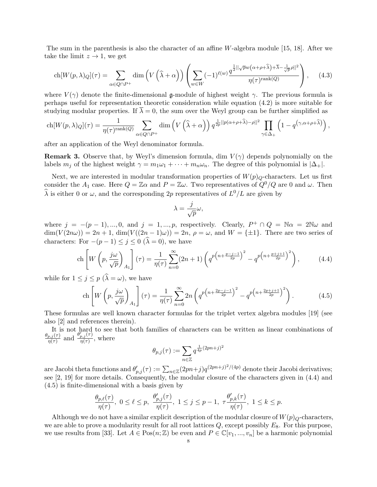The sum in the parenthesis is also the character of an affine W-algebra module [15, 18]. After we take the limit  $z \to 1$ , we get

$$
\operatorname{ch}[W(p,\lambda)_{Q}](\tau) = \sum_{\alpha \in Q \cap P^{+}} \dim \left( V\left(\widehat{\lambda} + \alpha\right) \right) \left( \sum_{w \in W} (-1)^{\ell(w)} \frac{q^{\frac{1}{2}||\sqrt{p}w(\alpha + \rho + \widehat{\lambda}) + \overline{\lambda} - \frac{1}{\sqrt{p}}\rho||^{2}}}{\eta(\tau)^{\operatorname{rank}(Q)}} \right), \quad (4.3)
$$

where  $V(\gamma)$  denote the finite-dimensional g-module of highest weight  $\gamma$ . The previous formula is perhaps useful for representation theoretic consideration while equation (4.2) is more suitable for studying modular properties. If  $\overline{\lambda} = 0$ , the sum over the Weyl group can be further simplified as

$$
\text{ch}[W(p,\lambda)_{Q}](\tau) = \frac{1}{\eta(\tau)^{\text{rank}(Q)}} \sum_{\alpha \in Q \cap P^{+}} \dim \left( V\left(\widehat{\lambda} + \alpha\right) \right) q^{\frac{1}{2p}||p(\alpha + \rho + \widehat{\lambda}) - \rho||^{2}} \prod_{\gamma \in \Delta_{+}} \left( 1 - q^{(\gamma, \alpha + \rho + \widehat{\lambda})} \right),
$$

after an application of the Weyl denominator formula.

**Remark 3.** Observe that, by Weyl's dimension formula, dim  $V(\gamma)$  depends polynomially on the labels  $m_i$  of the highest weight  $\gamma = m_1\omega_1 + \cdots + m_n\omega_n$ . The degree of this polynomial is  $|\Delta_+|$ .

Next, we are interested in modular transformation properties of  $W(p)_Q$ -characters. Let us first consider the  $A_1$  case. Here  $Q = \mathbb{Z}\alpha$  and  $P = \mathbb{Z}\omega$ . Two representatives of  $Q^0/Q$  are 0 and  $\omega$ . Then  $\widehat{\lambda}$  is either 0 or  $\omega$ , and the corresponding 2p representatives of  $L^0/L$  are given by

$$
\lambda = \frac{j}{\sqrt{p}}\omega,
$$

where  $j = -(p-1), ..., 0,$  and  $j = 1, ..., p$ , respectively. Clearly,  $P^+ \cap Q = \mathbb{N}\alpha = 2\mathbb{N}\omega$  and  $\dim(V(2n\omega)) = 2n + 1$ ,  $\dim(V((2n-1)\omega)) = 2n$ ,  $\rho = \omega$ , and  $W = {\pm 1}$ . There are two series of characters: For  $-(p-1) \leq j \leq 0$   $(\widehat{\lambda} = 0)$ , we have

$$
\operatorname{ch}\left[W\left(p,\frac{j\omega}{\sqrt{p}}\right)_{A_1}\right](\tau) = \frac{1}{\eta(\tau)}\sum_{n=0}^{\infty} (2n+1)\left(q^{p\left(n+\frac{p-j-1}{2p}\right)^2} - q^{p\left(n+\frac{p+j+1}{2p}\right)^2}\right),\tag{4.4}
$$

while for  $1 \leq j \leq p \ (\lambda = \omega)$ , we have

$$
\text{ch}\left[W\left(p,\frac{j\omega}{\sqrt{p}}\right)_{A_1}\right](\tau) = \frac{1}{\eta(\tau)}\sum_{n=0}^{\infty} 2n \left(q^{p\left(n+\frac{2p-j-1}{2p}\right)^2} - q^{p\left(n+\frac{2p+j+1}{2p}\right)^2}\right). \tag{4.5}
$$

These formulas are well known character formulas for the triplet vertex algebra modules [19] (see also [2] and references therein).

It is not hard to see that both families of characters can be written as linear combinations of  $\theta_{p,j}(\tau)$  $\frac{p_{p,j}(\tau)}{\eta(\tau)}$  and  $\frac{\theta'_{p,j}(\tau)}{\eta(\tau)}$  $\frac{p,j\vee\prime}{\eta(\tau)}$ , where

$$
\theta_{p,j}(\tau) := \sum_{n \in \mathbb{Z}} q^{\frac{1}{4p}(2pn+j)^2}
$$

are Jacobi theta functions and  $\theta'_{p,j}(\tau) := \sum_{n \in \mathbb{Z}} (2pn+j)q^{(2pn+j)^2/(4p)}$  denote their Jacobi derivatives; see [2, 19] for more details. Consequently, the modular closure of the characters given in (4.4) and (4.5) is finite-dimensional with a basis given by

$$
\frac{\theta_{p,\ell}(\tau)}{\eta(\tau)},\ 0\leq \ell\leq p,\ \frac{\theta_{p,j}'(\tau)}{\eta(\tau)},\ 1\leq j\leq p-1,\ \tau\frac{\theta_{p,k}'(\tau)}{\eta(\tau)},\ 1\leq k\leq p.
$$

Although we do not have a similar explicit description of the modular closure of  $W(p)_Q$ -characters, we are able to prove a modularity result for all root lattices  $Q$ , except possibly  $E_8$ . For this purpose, we use results from [33]. Let  $A \in \text{Pos}(n; \mathbb{Z})$  be even and  $P \in \mathbb{C}[v_1, ..., v_n]$  be a harmonic polynomial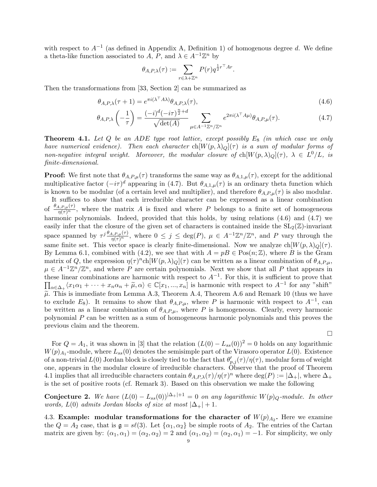with respect to  $A^{-1}$  (as defined in Appendix A, Definition 1) of homogenous degree d. We define a theta-like function associated to  $A, P$ , and  $\lambda \in A^{-1}\mathbb{Z}^n$  by

$$
\theta_{A,P,\lambda}(\tau) := \sum_{r \in \lambda + \mathbb{Z}^n} P(r) q^{\frac{1}{2}r^\top A r}.
$$

Then the transformations from [33, Section 2] can be summarized as

$$
\theta_{A,P,\lambda}(\tau+1) = e^{\pi i (\lambda^\top A \lambda)} \theta_{A,P,\lambda}(\tau),\tag{4.6}
$$

$$
\theta_{A,P,\lambda}\left(-\frac{1}{\tau}\right) = \frac{(-i)^d(-i\tau)^{\frac{n}{2}+d}}{\sqrt{\det(A)}} \sum_{\mu \in A^{-1}\mathbb{Z}^n/\mathbb{Z}^n} e^{2\pi i(\lambda^\top A\mu)} \theta_{A,P,\mu}(\tau). \tag{4.7}
$$

**Theorem 4.1.** Let Q be an ADE type root lattice, except possibly  $E_8$  (in which case we only have numerical evidence). Then each character  $\text{ch}[W(p, \lambda)_Q](\tau)$  is a sum of modular forms of non-negative integral weight. Moreover, the modular closure of  $\text{ch}[W(p,\lambda)_Q](\tau)$ ,  $\lambda \in L^0/L$ , is finite-dimensional.

**Proof:** We first note that  $\theta_{A,P,\mu}(\tau)$  transforms the same way as  $\theta_{A,1,\mu}(\tau)$ , except for the additional multiplicative factor  $(-i\tau)^d$  appearing in (4.7). But  $\theta_{A,1,\mu}(\tau)$  is an ordinary theta function which is known to be modular (of a certain level and multiplier), and therefore  $\theta_{A,P,\mu}(\tau)$  is also modular.

It suffices to show that each irreducible character can be expressed as a linear combination of  $\frac{\theta_{A,P,\mu}(\tau)}{\eta(\tau)^n}$ , where the matrix A is fixed and where P belongs to a finite set of homogeneous harmonic polynomials. Indeed, provided that this holds, by using relations  $(4.6)$  and  $(4.7)$  we easily infer that the closure of the given set of characters is contained inside the  $SL_2(\mathbb{Z})$ -invariant space spanned by  $\tau^{j}\frac{\theta_{A,P,\mu}(\tau)}{\eta(\tau)^{n}}$ , where  $0 \leq j \leq \deg(P)$ ,  $\mu \in A^{-1}\mathbb{Z}^{n}/\mathbb{Z}^{n}$ , and P vary through the same finite set. This vector space is clearly finite-dimensional. Now we analyze  $\text{ch}[W(p, \lambda)_Q](\tau)$ . By Lemma 6.1, combined with (4.2), we see that with  $A = pB \in Pos(n; \mathbb{Z})$ , where B is the Gram matrix of Q, the expression  $\eta(\tau)^n$ ch $[W(p,\lambda)_{Q}](\tau)$  can be written as a linear combination of  $\theta_{A,P,\mu}$ ,  $\mu \in A^{-1}\mathbb{Z}^n/\mathbb{Z}^n$ , and where P are certain polynomials. Next we show that all P that appears in these linear combinations are harmonic with respect to  $A^{-1}$ . For this, it is sufficient to prove that  $\prod_{\alpha \in \Delta_+} \langle x_1 \alpha_1 + \cdots + x_n \alpha_n + \widetilde{\mu}, \alpha \rangle \in \mathbb{C}[x_1, ..., x_n]$  is harmonic with respect to  $A^{-1}$  for any "shift"  $\tilde{\mu}$ . This is immediate from Lemma A.3, Theorem A.4, Theorem A.6 and Remark 10 (thus we have to exclude  $E_8$ ). It remains to show that  $\theta_{A,P,\mu}$ , where P is harmonic with respect to  $A^{-1}$ , can be written as a linear combination of  $\theta_{A,P,\mu}$ , where P is homogeneous. Clearly, every harmonic polynomial P can be written as a sum of homogeneous harmonic polynomials and this proves the previous claim and the theorem.

 $\Box$ 

For  $Q = A_1$ , it was shown in [3] that the relation  $(L(0) - L_{ss}(0))^2 = 0$  holds on any logarithmic  $W(p)_{A_1}$ -module, where  $L_{ss}(0)$  denotes the semisimple part of the Virasoro operator  $L(0)$ . Existence of a non-trivial  $L(0)$  Jordan block is closely tied to the fact that  $\theta'_{p,j}(\tau)/\eta(\tau)$ , modular form of weight one, appears in the modular closure of irreducible characters. Observe that the proof of Theorem 4.1 implies that all irreducible characters contain  $\theta_{A,P,\lambda}(\tau)/\eta(\tau)^n$  where  $\deg(P) := |\Delta_+|$ , where  $\Delta_+$ is the set of positive roots (cf. Remark 3). Based on this observation we make the following

**Conjecture 2.** We have  $(L(0) - L_{ss}(0))^{|\Delta_+|+1} = 0$  on any logarithmic  $W(p)_Q$ -module. In other words,  $L(0)$  admits Jordan blocks of size at most  $|\Delta_+|+1$ .

4.3. Example: modular transformations for the character of  $W(p)_{A_2}$ . Here we examine the  $Q = A_2$  case, that is  $\mathfrak{g} = s\ell(3)$ . Let  $\{\alpha_1, \alpha_2\}$  be simple roots of  $A_2$ . The entries of the Cartan matrix are given by:  $(\alpha_1, \alpha_1) = (\alpha_2, \alpha_2) = 2$  and  $(\alpha_1, \alpha_2) = (\alpha_2, \alpha_1) = -1$ . For simplicity, we only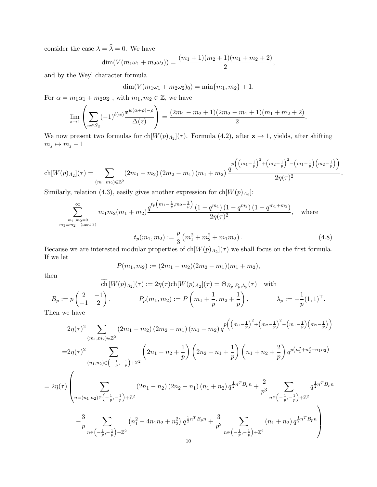consider the case  $\lambda = \widehat{\lambda} = 0$ . We have

$$
\dim(V(m_1\omega_1 + m_2\omega_2)) = \frac{(m_1+1)(m_2+1)(m_1+m_2+2)}{2},
$$

and by the Weyl character formula

$$
\dim(V(m_1\omega_1 + m_2\omega_2)_0) = \min\{m_1, m_2\} + 1.
$$

For  $\alpha = m_1 \alpha_1 + m_2 \alpha_2$  , with  $m_1, m_2 \in \mathbb{Z},$  we have

$$
\lim_{z \to 1} \left( \sum_{w \in S_3} (-1)^{\ell(w)} \frac{\mathbf{z}^{w(\alpha+\rho)-\rho}}{\Delta(z)} \right) = \frac{(2m_1-m_2+1)(2m_2-m_1+1)(m_1+m_2+2)}{2}.
$$

We now present two formulas for  $\text{ch}[W(p)_{A_2}](\tau)$ . Formula (4.2), after  $z \to 1$ , yields, after shifting  $m_j \mapsto m_j - 1$ 

$$
\text{ch}[W(p)_{A_2}](\tau) = \sum_{(m_1,m_2)\in\mathbb{Z}^2} (2m_1-m_2) (2m_2-m_1) (m_1+m_2) \frac{q^{p\left(\left(m_1-\frac{1}{p}\right)^2+\left(m_2-\frac{1}{p}\right)^2-\left(m_1-\frac{1}{p}\right)\left(m_2-\frac{1}{p}\right)\right)}}{2\eta(\tau)^2}.
$$

Similarly, relation (4.3), easily gives another expression for  $\text{ch}[W(p)_{A_2}]$ :

$$
\sum_{\substack{m_1,m_2=0 \ m_1 \equiv m_2 \pmod{3}}}^{\infty} m_1 m_2 (m_1 + m_2) \frac{q^{t_p \left(m_1 - \frac{1}{p}, m_2 - \frac{1}{p}\right)} (1 - q^{m_1}) (1 - q^{m_2}) (1 - q^{m_1 + m_2})}{2 \eta(\tau)^2}, \quad \text{where}
$$

$$
t_p(m_1, m_2) := \frac{p}{3} \left( m_1^2 + m_2^2 + m_1 m_2 \right). \tag{4.8}
$$

Because we are interested modular properties of  $\text{ch}[W(p)_{A_2}](\tau)$  we shall focus on the first formula. If we let

$$
P(m_1, m_2) := (2m_1 - m_2)(2m_2 - m_1)(m_1 + m_2),
$$

then

ch 
$$
[W(p)_{A_2}](\tau) := 2\eta(\tau) \text{ch}[W(p)_{A_2}](\tau) = \Theta_{B_p, P_p, \lambda_p}(\tau)
$$
 with  
\n
$$
B_p := p \begin{pmatrix} 2 & -1 \\ -1 & 2 \end{pmatrix}, \qquad P_p(m_1, m_2) := P \left( m_1 + \frac{1}{p}, m_2 + \frac{1}{p} \right), \qquad \lambda_p := -\frac{1}{p} (1, 1)^\top.
$$

Then we have

$$
2\eta(\tau)^{2} \sum_{(m_{1},m_{2})\in\mathbb{Z}^{2}} (2m_{1}-m_{2}) (2m_{2}-m_{1}) (m_{1}+m_{2}) q^{p} ((m_{1}-\frac{1}{p})^{2}+(m_{2}-\frac{1}{p})^{2}-(m_{1}-\frac{1}{p})(m_{2}-\frac{1}{p}))
$$
  
\n
$$
=2\eta(\tau)^{2} \sum_{(n_{1},n_{2})\in(-\frac{1}{p},-\frac{1}{p})+ \mathbb{Z}^{2}} \left(2n_{1}-n_{2}+\frac{1}{p}\right) \left(2n_{2}-n_{1}+\frac{1}{p}\right) \left(n_{1}+n_{2}+\frac{2}{p}\right) q^{p(n_{1}^{2}+n_{2}^{2}-n_{1}n_{2})}
$$
  
\n
$$
=2\eta(\tau) \left(\sum_{n=(n_{1},n_{2})\in(-\frac{1}{p},-\frac{1}{p})+ \mathbb{Z}^{2}} (2n_{1}-n_{2}) (2n_{2}-n_{1}) (n_{1}+n_{2}) q^{\frac{1}{2}n^{T}B_{p}n} + \frac{2}{p^{3}} \sum_{n\in(-\frac{1}{p},-\frac{1}{p})+ \mathbb{Z}^{2}} q^{\frac{1}{2}n^{T}B_{p}n}
$$
  
\n
$$
-\frac{3}{p} \sum_{n\in(-\frac{1}{p},-\frac{1}{p})+ \mathbb{Z}^{2}} (n_{1}^{2}-4n_{1}n_{2}+n_{2}^{2}) q^{\frac{1}{2}n^{T}B_{p}n} + \frac{3}{p^{2}} \sum_{n\in(-\frac{1}{p},-\frac{1}{p})+ \mathbb{Z}^{2}} (n_{1}+n_{2}) q^{\frac{1}{2}n^{T}B_{p}n} \right).
$$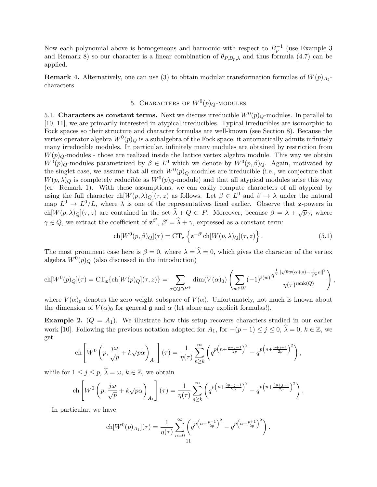Now each polynomial above is homogeneous and harmonic with respect to  $B_p^{-1}$  (use Example 3 and Remark 8) so our character is a linear combination of  $\theta_{P,B_p,\lambda}$  and thus formula (4.7) can be applied.

**Remark 4.** Alternatively, one can use (3) to obtain modular transformation formulas of  $W(p)_{A_2}$ characters.

# 5. CHARACTERS OF  $W^0(p)_Q$ -MODULES

5.1. Characters as constant terms. Next we discuss irreducible  $W^0(p)_{Q}$ -modules. In parallel to [10, 11], we are primarily interested in atypical irreducibles. Typical irreducibles are isomorphic to Fock spaces so their structure and character formulas are well-known (see Section 8). Because the vertex operator algebra  $W^0(p)_Q$  is a subalgebra of the Fock space, it automatically admits infinitely many irreducible modules. In particular, infinitely many modules are obtained by restriction from  $W(p)_{Q}$ -modules - those are realized inside the lattice vertex algebra module. This way we obtain  $W^0(p)_{Q}$ -modules parametrized by  $\beta \in L^0$  which we denote by  $W^0(p,\beta)_{Q}$ . Again, motivated by the singlet case, we assume that all such  $W^0(p)_Q$ -modules are irreducible (i.e., we conjecture that  $W(p, \lambda)$ <sub>Q</sub> is completely reducible as  $W^0(p)$ <sub>Q</sub>-module) and that all atypical modules arise this way (cf. Remark 1). With these assumptions, we can easily compute characters of all atypical by using the full character  $ch[W(p,\lambda)_Q](\tau,z)$  as follows. Let  $\beta \in L^0$  and  $\beta \mapsto \lambda$  under the natural map  $L^0 \to L^0/L$ , where  $\lambda$  is one of the representatives fixed earlier. Observe that **z**-powers in ch $[W(p,\lambda)_Q](\tau,z)$  are contained in the set  $\hat{\lambda} + Q \subset P$ . Moreover, because  $\beta = \lambda + \sqrt{p}\gamma$ , where  $\gamma \in Q$ , we extract the coefficient of  $\mathbf{z}^{\beta'}$ ,  $\beta' = \hat{\lambda} + \gamma$ , expressed as a constant term:

$$
\operatorname{ch}[W^{0}(p,\beta)_{Q}](\tau) = \operatorname{CT}_{\mathbf{z}}\left\{\mathbf{z}^{-\beta'}\operatorname{ch}[W(p,\lambda)_{Q}](\tau,z)\right\}.
$$
\n(5.1)

The most prominent case here is  $\beta = 0$ , where  $\lambda = \hat{\lambda} = 0$ , which gives the character of the vertex algebra  $W^0(p)_Q$  (also discussed in the introduction)

$$
\operatorname{ch}[W^0(p)_Q](\tau) = \operatorname{CT}_{\mathbf{z}}\{\operatorname{ch}[W(p)_Q](\tau,z)\} = \sum_{\alpha \in Q \cap P^+} \dim(V(\alpha)_0) \left( \sum_{w \in W} (-1)^{\ell(w)} \frac{q^{\frac{1}{2}||\sqrt{p}w(\alpha+\rho)-\frac{1}{\sqrt{p}}\rho||^2}}{\eta(\tau)^{\operatorname{rank}(Q)}} \right),
$$

where  $V(\alpha)_0$  denotes the zero weight subspace of  $V(\alpha)$ . Unfortunately, not much is known about the dimension of  $V(\alpha)_0$  for general g and  $\alpha$  (let alone any explicit formulas!).

**Example 2.**  $(Q = A_1)$ . We illustrate how this setup recovers characters studied in our earlier work [10]. Following the previous notation adopted for  $A_1$ , for  $-(p-1) \le j \le 0$ ,  $\hat{\lambda} = 0$ ,  $k \in \mathbb{Z}$ , we get

$$
\operatorname{ch}\left[W^0\left(p,\frac{j\omega}{\sqrt{p}}+k\sqrt{p}\alpha\right)_{A_1}\right](\tau) = \frac{1}{\eta(\tau)}\sum_{n\geq k}^{\infty} \left(q^{p\left(n+\frac{p-j-1}{2p}\right)^2} - q^{p\left(n+\frac{p+j+1}{2p}\right)^2}\right),
$$

while for  $1 \leq j \leq p$ ,  $\lambda = \omega$ ,  $k \in \mathbb{Z}$ , we obtain

$$
\operatorname{ch}\left[W^0\left(p,\frac{j\omega}{\sqrt{p}}+k\sqrt{p}\alpha\right)_{A_1}\right](\tau) = \frac{1}{\eta(\tau)}\sum_{n\geq k}^{\infty}\left(q^{p\left(n+\frac{2p-j-1}{2p}\right)^2}-q^{p\left(n+\frac{2p+j+1}{2p}\right)^2}\right).
$$

In particular, we have

$$
ch[W^{0}(p)_{A_1}](\tau) = \frac{1}{\eta(\tau)} \sum_{n=0}^{\infty} \left( q^{p\left(n + \frac{p-1}{2p}\right)^{2}} - q^{p\left(n + \frac{p+1}{2p}\right)^{2}} \right).
$$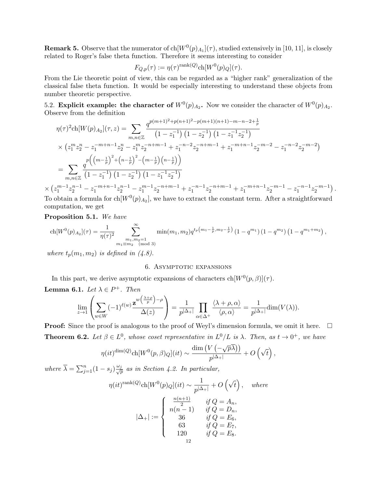**Remark 5.** Observe that the numerator of  $ch[W^0(p)_{A_1}](\tau)$ , studied extensively in [10, 11], is closely related to Roger's false theta function. Therefore it seems interesting to consider

$$
F_{Q,p}(\tau) := \eta(\tau)^{\text{rank}(Q)} \text{ch}[W^0(p)_Q](\tau).
$$

From the Lie theoretic point of view, this can be regarded as a "higher rank" generalization of the classical false theta function. It would be especially interesting to understand these objects from number theoretic perspective.

5.2. Explicit example: the character of  $W^0(p)_{A_2}$ . Now we consider the character of  $W^0(p)_{A_2}$ . Observe from the definition

$$
\eta(\tau)^{2} \text{ch}[W(p)_{A_{2}}](\tau,z) = \sum_{m,n \in \mathbb{Z}} \frac{q^{p(m+1)^{2}+p(n+1)^{2}-p(m+1)(n+1)-m-n-2+\frac{1}{p}}}{(1-z_{1}^{-1}) (1-z_{2}^{-1}) (1-z_{1}^{-1}z_{2}^{-1})}
$$

$$
\times (z_{1}^{m}z_{2}^{n}-z_{1}^{-m+n-1}z_{2}^{n}-z_{1}^{m}z_{2}^{-n+m-1}+z_{1}^{-n-2}z_{2}^{-n+m-1}+z_{1}^{-m+n-1}z_{2}^{-m-2}-z_{1}^{-n-2}z_{2}^{-m-2})
$$

$$
= \sum_{m,n \in \mathbb{Z}} \frac{q^{p} \left(\left(m-\frac{1}{p}\right)^{2}+\left(n-\frac{1}{p}\right)^{2}-\left(m-\frac{1}{p}\right)\left(n-\frac{1}{p}\right)\right)}{\left(1-z_{1}^{-1}\right) \left(1-z_{2}^{-1}\right) \left(1-z_{1}^{-1}z_{2}^{-1}\right)}
$$

$$
\times (z_{1}^{m-1}z_{2}^{n-1}-z_{1}^{-m+n-1}z_{2}^{n-1}-z_{1}^{m-1}z_{2}^{-n+m-1}+z_{1}^{-n-1}z_{2}^{-n+m-1}+z_{1}^{-m+n-1}z_{2}^{-m-1}-z_{1}^{-n-1}z_{2}^{-m-1})\,.
$$

To obtain a formula for  $\text{ch}[W^0(p)_{A_2}]$ , we have to extract the constant term. After a straightforward computation, we get

Proposition 5.1. We have

$$
\operatorname{ch}[W^{0}(p)_{A_2}](\tau) = \frac{1}{\eta(\tau)^2} \sum_{\substack{m_1, m_2 = 1 \ m_1 \equiv m_2 \pmod{3}}}^{\infty} \min(m_1, m_2) q^{t_p(m_1 - \frac{1}{p}, m_2 - \frac{1}{p})} (1 - q^{m_1})(1 - q^{m_2})(1 - q^{m_1 + m_2}),
$$

where  $t_p(m_1, m_2)$  is defined in  $(4.8)$ .

## 6. ASYMPTOTIC EXPANSIONS

In this part, we derive asymptotic expansions of characters  $\text{ch}[W^0(p,\beta)](\tau)$ .

**Lemma 6.1.** Let  $\lambda \in P^+$ . Then

$$
\lim_{z \to 1} \left( \sum_{w \in W} (-1)^{\ell(w)} \frac{\mathbf{z}^{w\left(\frac{\lambda+\rho}{p}\right)-\rho}}{\Delta(z)} \right) = \frac{1}{p^{|\Delta_+|}} \prod_{\alpha \in \Delta^+} \frac{\langle \lambda + \rho, \alpha \rangle}{\langle \rho, \alpha \rangle} = \frac{1}{p^{|\Delta_+|}} \dim(V(\lambda)).
$$

**Proof:** Since the proof is analogous to the proof of Weyl's dimension formula, we omit it here.  $\Box$ **Theorem 6.2.** Let  $\beta \in L^0$ , whose coset representative in  $L^0/L$  is  $\lambda$ . Then, as  $t \to 0^+$ , we have

$$
\eta(it)^{\dim(Q)} \text{ch}[W^0(p,\beta)_{Q}](it) \sim \frac{\dim(V(-\sqrt{p\lambda}))}{p^{|\Delta_+|}} + O(\sqrt{t}),
$$

where  $\overline{\lambda} = \sum_{j=1}^n (1 - s_j) \frac{\omega_j}{\sqrt{p}}$  $\frac{p}{p}$  as in Section 4.2. In particular,

$$
\eta(it)^{\text{rank}(Q)} \text{ch}[W^0(p)_{Q}](it) \sim \frac{1}{p^{|\Delta_+|}} + O\left(\sqrt{t}\right), \quad where
$$

$$
|\Delta_+| := \begin{cases} \frac{n(n+1)}{2} & \text{if } Q = A_n, \\ n(n-1) & \text{if } Q = D_n, \\ 36 & \text{if } Q = E_6, \\ 63 & \text{if } Q = E_7, \\ 120 & \text{if } Q = E_8. \end{cases}
$$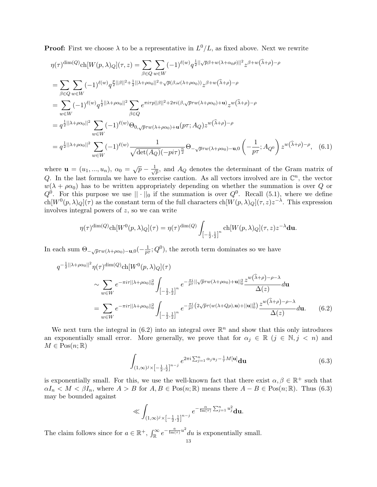**Proof:** First we choose  $\lambda$  to be a representative in  $L^0/L$ , as fixed above. Next we rewrite

$$
\eta(\tau)^{\dim(Q)} \text{ch}[W(p,\lambda)_{Q}](\tau,z) = \sum_{\beta \in Q} \sum_{w \in W} (-1)^{\ell(w)} q^{\frac{1}{2} ||\sqrt{p}\beta + w(\lambda + \alpha_{0}\rho)||^{2}} z^{\beta + w(\hat{\lambda} + \rho) - \rho}
$$
\n
$$
= \sum_{\beta \in Q} \sum_{w \in W} (-1)^{\ell(w)} q^{\frac{p}{2} ||\beta||^{2} + \frac{1}{2} ||\lambda + \rho\alpha_{0}||^{2} + \sqrt{p}(\beta, \omega(\lambda + \rho\alpha_{0}))} z^{\beta + w(\hat{\lambda} + \rho) - \rho}
$$
\n
$$
= \sum_{w \in W} (-1)^{\ell(w)} q^{\frac{1}{2} ||\lambda + \rho\alpha_{0}||^{2}} \sum_{\beta \in Q} e^{\pi i \tau p ||\beta||^{2} + 2\pi i (\beta, \sqrt{p}\tau w(\lambda + \rho\alpha_{0}) + \mathbf{u})} z^{w(\hat{\lambda} + \rho) - \rho}
$$
\n
$$
= q^{\frac{1}{2} ||\lambda + \rho\alpha_{0}||^{2}} \sum_{w \in W} (-1)^{\ell(w)} \Theta_{0, \sqrt{p}\tau w(\lambda + \rho\alpha_{0}) + \mathbf{u}}(p\tau; A_{Q}) z^{w(\hat{\lambda} + \rho) - \rho}
$$
\n
$$
= q^{\frac{1}{2} ||\lambda + \rho\alpha_{0}||^{2}} \sum_{w \in W} (-1)^{\ell(w)} \frac{1}{\sqrt{\det(A_{Q})(-p i \tau)^{\frac{n}{2}}}} \Theta_{-\sqrt{p}\tau w(\lambda + \rho\alpha_{0}) - \mathbf{u}, 0} \left( -\frac{1}{p\tau}; A_{Q^{0}} \right) z^{w(\hat{\lambda} + \rho) - \rho}, \quad (6.1)
$$

where  $\mathbf{u} = (u_1, ..., u_n), \ \alpha_0 = \sqrt{p} - \frac{1}{\sqrt{p}}$  $\overline{p}$ , and  $A_Q$  denotes the determinant of the Gram matrix of Q. In the last formula we have to exercise caution. As all vectors involved are in  $\mathbb{C}^n$ , the vector  $w(\lambda + \rho \alpha_0)$  has to be written appropriately depending on whether the summation is over Q or  $Q^0$ . For this purpose we use  $|| \cdot ||_0$  if the summation is over  $Q^0$ . Recall  $(5.1)$ , where we define  $ch[W^0(p,\lambda)_Q](\tau)$  as the constant term of the full characters  $ch[W(p,\lambda)_Q](\tau,z)z^{-\lambda}$ . This expression involves integral powers of z, so we can write

$$
\eta(\tau)^{\dim(Q)} \text{ch}[W^0(p,\lambda)_{Q}](\tau) = \eta(\tau)^{\dim(Q)} \int_{\left[-\frac{1}{2},\frac{1}{2}\right]^{n}} \text{ch}[W(p,\lambda)_{Q}](\tau,z) z^{-\lambda} \mathbf{du}.
$$

In each sum  $\Theta_{-\sqrt{p} \tau w(\lambda + \rho \alpha_0) - \mathbf{u}, 0}(-\frac{1}{p \tau \sigma_0})$  $\frac{1}{p\tau}; Q^0$ , the zeroth term dominates so we have

 $q^{\dagger}$ 

$$
-\frac{1}{2}||\lambda+\rho\alpha_{0}||^{2}\eta(\tau)^{\dim(Q)}\mathrm{ch}[W^{0}(p,\lambda)_{Q}](\tau)
$$
  

$$
\sim \sum_{w\in W}e^{-\pi i\tau||\lambda+\rho\alpha_{0}||_{0}^{2}}\int_{\left[-\frac{1}{2},\frac{1}{2}\right]^{n}}e^{-\frac{\pi i}{p\tau}||\sqrt{p}\tau w(\lambda+\rho\alpha_{0})+\mathbf{u}||_{0}^{2}}\frac{z^{w(\hat{\lambda}+\rho)-\rho-\lambda}}{\Delta(z)}d\mathbf{u}
$$
  

$$
=\sum_{w\in W}e^{-\pi i\tau||\lambda+\rho\alpha_{0}||_{0}^{2}}\int_{\left[-\frac{1}{2},\frac{1}{2}\right]^{n}}e^{-\frac{\pi i}{p\tau}(2\sqrt{p}\tau(w(\lambda+Q\rho),\mathbf{u})+||\mathbf{u}||_{0}^{2})}\frac{z^{w(\hat{\lambda}+\rho)-\rho-\lambda}}{\Delta(z)}d\mathbf{u}.
$$
 (6.2)

We next turn the integral in  $(6.2)$  into an integral over  $\mathbb{R}^n$  and show that this only introduces an exponentially small error. More generally, we prove that for  $\alpha_j \in \mathbb{R}$   $(j \in \mathbb{N}, j \leq n)$  and  $M \in \mathrm{Pos}(n;\mathbb{R})$ 

$$
\int_{(1,\infty)^j \times [-\frac{1}{2},\frac{1}{2}]^{n-j}} e^{2\pi i \sum_{j=1}^n \alpha_j u_j - \frac{1}{\tau} M[\mathbf{u}]} d\mathbf{u}
$$
(6.3)

is exponentially small. For this, we use the well-known fact that there exist  $\alpha, \beta \in \mathbb{R}^+$  such that  $\alpha I_n < M < \beta I_n$ , where  $A > B$  for  $A, B \in \text{Pos}(n;\mathbb{R})$  means there  $A - B \in \text{Pos}(n;\mathbb{R})$ . Thus (6.3) may be bounded against

$$
\ll \int_{(1,\infty)^j \times [-\frac{1}{2},\frac{1}{2}]^{n-j}} e^{-\frac{\alpha}{\text{Im}(\tau)} \sum_{j=1}^n u_j^2} \mathbf{du}.
$$

The claim follows since for  $a \in \mathbb{R}^+$ ,  $\int_{\mathbb{R}}^{\infty} e^{-\frac{a}{\text{Im}(\tau)}u^2} du$  is exponentially small.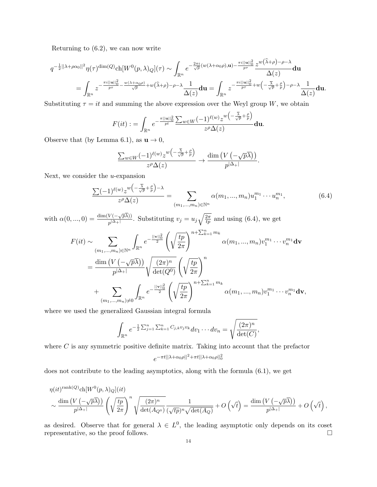Returning to (6.2), we can now write

$$
q^{-\frac{1}{2}||\lambda+\rho\alpha_0||^2}\eta(\tau)^{\dim(Q)}\text{ch}[W^0(p,\lambda)_{Q}](\tau) \sim \int_{\mathbb{R}^n} e^{-\frac{2\pi i}{\sqrt{p}}(w(\lambda+\alpha_0\rho),\mathbf{u})-\frac{\pi i||\mathbf{u}||_0^2}{p\tau}}\frac{z^{w(\widehat{\lambda}+\rho)-\rho-\lambda}}{\Delta(z)}\mathbf{du}
$$
  
= 
$$
\int_{\mathbb{R}^n} z^{-\frac{\pi i||\mathbf{u}||_0^2}{p\tau}-\frac{w(\lambda+\alpha_0\rho)}{\sqrt{p}}+w(\widehat{\lambda}+\rho)-\rho-\lambda}\frac{1}{\Delta(z)}\mathbf{du} = \int_{\mathbb{R}^n} z^{-\frac{\pi i||\mathbf{u}||_0^2}{p\tau}+w\left(-\frac{\overline{\lambda}}{\sqrt{p}}+\frac{\rho}{p}\right)-\rho-\lambda}\frac{1}{\Delta(z)}\mathbf{du}.
$$

Substituting  $\tau = it$  and summing the above expression over the Weyl group W, we obtain

$$
F(it):=\int_{\mathbb{R}^n}e^{-\frac{\pi||\mathbf{u}||^2_0}{pt}}\frac{\sum_{w\in W}(-1)^{\ell(w)}z^w\left(-\frac{\overline{\lambda}}{\sqrt{p}}+\frac{\rho}{p}\right)}{z^{\rho}\Delta(z)}\mathbf{du}.
$$

Observe that (by Lemma 6.1), as  $\mathbf{u} \to 0$ ,

$$
\frac{\sum_{w\in W}(-1)^{\ell(w)}z^{w\left(-\frac{\overline{\lambda}}{\sqrt{p}}+\frac{\rho}{p}\right)}}{z^{\rho}\Delta(z)}\to \frac{\dim(V(-\sqrt{p}\overline{\lambda}))}{p^{|\Delta_{+}|}}.
$$

Next, we consider the  $u$ -expansion

$$
\frac{\sum (-1)^{\ell(w)} z^w \left(-\frac{\overline{\lambda}}{\sqrt{p}} + \frac{\rho}{p}\right) - \lambda}{z^{\rho} \Delta(z)} = \sum_{(m_1, \dots, m_n) \in \mathbb{N}^n} \alpha(m_1, \dots, m_n) u_1^{m_1} \cdots u_n^{m_1},
$$
(6.4)

with  $\alpha(0, ..., 0) = \frac{\dim(V(-\sqrt{p\lambda}))}{\lambda}$  $\frac{V(-\sqrt{p\lambda})}{p^{\lambda+1}}$ . Substituting  $v_j = u_j \sqrt{\frac{2\pi}{tp}}$  and using (6.4), we get

$$
F(it) \sim \sum_{(m_1,\ldots,m_n)\in\mathbb{N}^n} \int_{\mathbb{R}^n} e^{-\frac{||\mathbf{v}||_0^2}{2}} \left(\sqrt{\frac{tp}{2\pi}}\right)^{n+\sum_{k=1}^n m_k} \alpha(m_1,\ldots,m_n) v_1^{m_1}\cdots v_n^{m_1} d\mathbf{v}
$$
  

$$
= \frac{\dim (V(-\sqrt{p\lambda}))}{p^{|\Delta_+|}} \sqrt{\frac{(2\pi)^n}{\det(Q^0)}} \left(\sqrt{\frac{tp}{2\pi}}\right)^n
$$
  

$$
+ \sum_{(m_1,\ldots,m_n)\neq 0} \int_{\mathbb{R}^n} e^{-\frac{||\mathbf{v}||_0^2}{2}} \left(\sqrt{\frac{tp}{2\pi}}\right)^{n+\sum_{k=1}^n m_k} \alpha(m_1,\ldots,m_n) v_1^{m_1}\cdots v_n^{m_1} d\mathbf{v},
$$

where we used the generalized Gaussian integral formula

$$
\int_{\mathbb{R}^n} e^{-\frac{1}{2} \sum_{j=1}^n \sum_{k=1}^n C_{j,k} v_j v_k} dv_1 \cdots dv_n = \sqrt{\frac{(2\pi)^n}{\det(C)}},
$$

where  $C$  is any symmetric positive definite matrix. Taking into account that the prefactor  $e^{-\pi t ||\lambda + \alpha_0 \rho||^2 + \pi t ||\lambda + \alpha_0 \rho||^2_0}$ 

does not contribute to the leading asymptotics, along with the formula (6.1), we get

$$
\eta(it)^{\operatorname{rank}(Q)} \operatorname{ch}[W^{0}(p,\lambda)_{Q}](it)
$$
  

$$
\sim \frac{\dim (V(-\sqrt{p\lambda}))}{p^{|\Delta_{+}|}} \left(\sqrt{\frac{tp}{2\pi}}\right)^{n} \sqrt{\frac{(2\pi)^{n}}{\det(A_{Q^{0}})}} \frac{1}{(\sqrt{tp})^{n} \sqrt{\det(A_{Q})}} + O\left(\sqrt{t}\right) = \frac{\dim (V(-\sqrt{p\lambda}))}{p^{|\Delta_{+}|}} + O\left(\sqrt{t}\right),
$$

as desired. Observe that for general  $\lambda \in L^0$ , the leading asymptotic only depends on its coset representative, so the proof follows.  $\Box$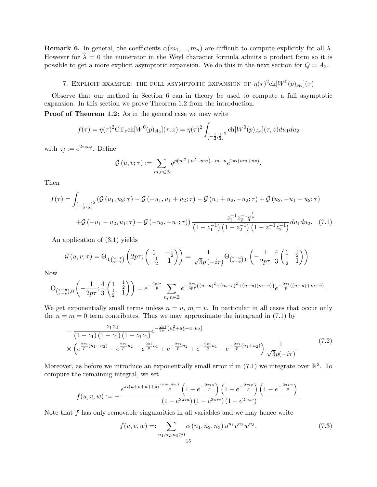**Remark 6.** In general, the coefficients  $\alpha(m_1, ..., m_n)$  are difficult to compute explicitly for all  $\lambda$ . However for  $\hat{\lambda} = 0$  the numerator in the Weyl character formula admits a product form so it is possible to get a more explicit asymptotic expansion. We do this in the next section for  $Q = A_2$ .

# 7. EXPLICIT EXAMPLE: THE FULL ASYMPTOTIC EXPANSION OF  $\eta(\tau)^2$ ch $[W^0(p)_{A_2}](\tau)$

Observe that our method in Section 6 can in theory be used to compute a full asymptotic expansion. In this section we prove Theorem 1.2 from the introduction.

**Proof of Theorem 1.2:** As in the general case we may write

$$
f(\tau) = \eta(\tau)^2 \text{CT}_z \text{ch}[W^0(p)_{A_2}](\tau, z) = \eta(\tau)^2 \int_{\left[-\frac{1}{2}, \frac{1}{2}\right]^2} \text{ch}[W^0(p)_{A_2}](\tau, z) du_1 du_2
$$

with  $z_j := e^{2\pi i u_j}$ . Define

$$
\mathcal{G}(u,v;\tau) := \sum_{m,n \in \mathbb{Z}} q^{p(m^2 + n^2 - mn) - m - n} e^{2\pi i (mu + nv)}.
$$

Then

$$
f(\tau) = \int_{\left[-\frac{1}{2},\frac{1}{2}\right]^2} \left(\mathcal{G}\left(u_1, u_2; \tau\right) - \mathcal{G}\left(-u_1, u_1 + u_2; \tau\right) - \mathcal{G}\left(u_1 + u_2, -u_2; \tau\right) + \mathcal{G}\left(u_2, -u_1 - u_2; \tau\right) \right. \\
\left. + \mathcal{G}\left(-u_1 - u_2, u_1; \tau\right) - \mathcal{G}\left(-u_2, -u_1; \tau\right)\right) \frac{z_1^{-1} z_2^{-1} q^{\frac{1}{p}}}{\left(1 - z_1^{-1}\right) \left(1 - z_2^{-1}\right) \left(1 - z_1^{-1} z_2^{-1}\right)} du_1 du_2. \tag{7.1}
$$

An application of (3.1) yields

$$
\mathcal{G}\left(u,v;\tau\right) = \Theta_{0,\left(\begin{matrix}u-\tau\\v-\tau\end{matrix}\right)}\left(2p\tau;\begin{pmatrix}1 & -\frac{1}{2}\\ -\frac{1}{2} & 1\end{pmatrix}\right) = \frac{1}{\sqrt{3}p\left(-i\tau\right)}\Theta_{\left(\begin{matrix}\tau-u\\ \tau-v\end{matrix}\right),0}\left(-\frac{1}{2p\tau};\frac{4}{3}\begin{pmatrix}1 & \frac{1}{2}\\ \frac{1}{2} & 1\end{pmatrix}\right).
$$

Now

$$
\Theta_{\binom{\tau-u}{\tau-v},0}\left(-\frac{1}{2p\tau};\frac{4}{3}\left(\frac{1}{\frac{1}{2}}\right)\right) = e^{-\frac{2\pi i\tau}{p}}\sum_{n,m\in\mathbb{Z}}e^{-\frac{2\pi i}{3p\tau}\left((n-u)^2+(m-v)^2+(n-u)(m-v)\right)}e^{-\frac{2\pi i}{p}\left((n-u)+m-v\right)}.
$$

We get exponentially small terms unless  $n = u$ ,  $m = v$ . In particular in all cases that occur only the  $n = m = 0$  term contributes. Thus we may approximate the integrand in (7.1) by

$$
-\frac{z_1 z_2}{(1-z_1)(1-z_2)(1-z_1 z_2)} e^{-\frac{2\pi i}{3p\tau}\left(u_1^2+u_2^2+u_1 u_2\right)} \times \left(e^{\frac{2\pi i}{p}\left(u_1+u_2\right)}-e^{\frac{2\pi i}{p}u_2}-e^{\frac{2\pi i}{p}u_1}+e^{-\frac{2\pi i}{p}u_2}+e^{-\frac{2\pi i}{p}u_1}-e^{-\frac{2\pi i}{p}\left(u_1+u_2\right)}\right) \frac{1}{\sqrt{3}p(-i\tau)}.
$$
\n(7.2)

Moreover, as before we introduce an exponentially small error if in  $(7.1)$  we integrate over  $\mathbb{R}^2$ . To compute the remaining integral, we set

$$
f(u,v,w) := -\frac{e^{\pi i (u+v+w) + \pi i \frac{(u+v+w)}{p}} \left(1 - e^{-\frac{2\pi i u}{p}}\right) \left(1 - e^{-\frac{2\pi i v}{p}}\right) \left(1 - e^{-\frac{2\pi i w}{p}}\right)}{(1 - e^{2\pi i u}) \left(1 - e^{2\pi i v}\right) \left(1 - e^{2\pi i w}\right)}.
$$

Note that  $f$  has only removable singularities in all variables and we may hence write

$$
f(u, v, w) =: \sum_{n_1, n_2, n_3 \ge 0} \alpha(n_1, n_2, n_3) u^{n_1} v^{n_2} w^{n_3}.
$$
 (7.3)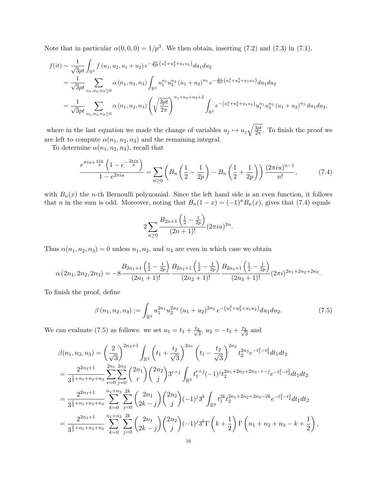Note that in particular  $\alpha(0,0,0) = 1/p^3$ . We then obtain, inserting (7.2) and (7.3) in (7.1),

$$
f(it) \sim \frac{1}{\sqrt{3}pt} \int_{\mathbb{R}^2} f(u_1, u_2, u_1 + u_2) e^{-\frac{2\pi}{3pt} (u_1^2 + u_2^2 + u_1 u_2)} du_1 du_2
$$
  
=  $\frac{1}{\sqrt{3}pt} \sum_{n_1, n_2, n_3 \ge 0} \alpha(n_1, n_2, n_3) \int_{\mathbb{R}^2} u_1^{n_1} u_2^{n_2} (u_1 + u_2)^{n_3} e^{-\frac{2\pi}{3pt} (u_1^2 + u_2^2 + u_1 u_2)} du_1 du_2$   
=  $\frac{1}{\sqrt{3}pt} \sum_{n_1, n_2, n_3 \ge 0} \alpha(n_1, n_2, n_3) \left( \sqrt{\frac{3pt}{2\pi}} \right)^{n_1 + n_2 + n_3 + 2} \int_{\mathbb{R}^2} e^{-\left( u_1^2 + u_2^2 + u_1 u_2 \right) u_1^{n_1} u_2^{n_2} (u_1 + u_2)^{n_3} du_1 du_2, \quad \text{where } \alpha(n_1, n_2, n_3) \sim \frac{1}{\sqrt{3}pt} \int_{\mathbb{R}^2} e^{-\left( u_1^2 + u_2^2 + u_1 u_2 \right) u_1^{n_1} u_2^{n_2} (u_1 + u_2)^{n_3} du_1 du_2, \quad \text{where } \alpha(n_1, n_2, n_3) \sim \frac{1}{\sqrt{3}pt} \int_{\mathbb{R}^2} e^{-\left( u_1^2 + u_2^2 + u_1 u_2 \right) u_1^{n_1} u_2^{n_2} (u_1 + u_2)^{n_3} du_1 du_2, \quad \text{where } \alpha(n_1, n_2, n_3) \sim \frac{1}{\sqrt{3}pt} \int_{\mathbb{R}^2} e^{-\frac{2\pi}{3pt} (u_1^2 + u_2^2 + u_1 u_2)} du_1 du_2.$ 

where in the last equation we made the change of variables  $u_j \mapsto u_j \sqrt{\frac{3pt}{2\pi}}$  $\frac{3pt}{2\pi}$ . To finish the proof we are left to compute  $\alpha(n_1, n_2, n_3)$  and the remaining integral.

To determine  $\alpha(n_1, n_2, n_3)$ , recall that

$$
\frac{e^{\pi i u + \frac{\pi i u}{p}} \left(1 - e^{-\frac{2\pi i u}{p}}\right)}{1 - e^{2\pi i u}} = \sum_{n \ge 0} \left(B_n \left(\frac{1}{2} - \frac{1}{2p}\right) - B_n \left(\frac{1}{2} + \frac{1}{2p}\right)\right) \frac{(2\pi i u)^{n-1}}{n!},\tag{7.4}
$$

with  $B_n(x)$  the n-th Bernoulli polynomial. Since the left hand side is an even function, it follows that n in the sum is odd. Moreover, noting that  $B_n(1-x) = (-1)^n B_n(x)$ , gives that (7.4) equals

$$
2\sum_{n\geq 0} \frac{B_{2n+1}\left(\frac{1}{2}-\frac{1}{2p}\right)}{(2n+1)!} (2\pi i u)^{2n}.
$$

Thus  $\alpha(n_1, n_2, n_3) = 0$  unless  $n_1, n_2$ , and  $n_3$  are even in which case we obtain

$$
\alpha(2n_1, 2n_2, 2n_3) = -8 \frac{B_{2n_1+1}\left(\frac{1}{2} - \frac{1}{2p}\right)B_{2n_2+1}\left(\frac{1}{2} - \frac{1}{2p}\right)B_{2n_3+1}\left(\frac{1}{2} - \frac{1}{2p}\right)}{(2n_2+1)!} (2\pi i)^{2n_1+2n_2+2n_3}.
$$

To finish the proof, define

$$
\beta(n_1, n_2, n_3) := \int_{\mathbb{R}^2} u_1^{2n_1} u_2^{2n_2} (u_1 + u_2)^{2n_3} e^{-\left(u_1^2 + u_2^2 + u_1 u_2\right)} du_1 du_2.
$$
 (7.5)

We can evaluate (7.5) as follows: we set  $u_1 = t_1 + \frac{t_2}{\sqrt{2}}$  $\frac{2}{3}$ ,  $u_2 = -t_1 + \frac{t_2}{\sqrt{3}}$  $\frac{2}{3}$  and

$$
\beta(n_1, n_2, n_3) = \left(\frac{2}{\sqrt{3}}\right)^{2n_3+1} \int_{\mathbb{R}^2} \left(t_1 + \frac{t_2}{\sqrt{3}}\right)^{2n_1} \left(t_1 - \frac{t_2}{\sqrt{3}}\right)^{2n_2} t_2^{2n_3} e^{-t_1^2 - t_2^2} dt_1 dt_2
$$
  
\n
$$
= \frac{2^{2n_3+1}}{3^{\frac{1}{2}+n_1+n_2+n_3}} \sum_{r=0}^{2n_1} \sum_{j=0}^{2n_2} {2n_1 \choose r} {2n_2 \choose j} 3^{r+j} \int_{\mathbb{R}^2} t_1^{r+j} (-1)^j t_2^{2n_1+2n_2+2n_3-r-j} e^{-t_1^2 - t_2^2} dt_1 dt_2
$$
  
\n
$$
= \frac{2^{2n_3+1}}{3^{\frac{1}{2}+n_1+n_2+n_3}} \sum_{k=0}^{n_1+n_2} \sum_{j=0}^{2k} {2n_1 \choose 2k-j} {2n_2 \choose j} (-1)^j 3^k \int_{\mathbb{R}^2} t_1^{2k} t_2^{2n_1+2n_2+2n_3-2k} e^{-t_1^2 - t_2^2} dt_1 dt_2
$$
  
\n
$$
= \frac{2^{2n_3+1}}{3^{\frac{1}{2}+n_1+n_2+n_3}} \sum_{k=0}^{n_1+n_2} \sum_{j=0}^{2k} {2n_1 \choose 2k-j} {2n_2 \choose j} (-1)^j 3^k \Gamma(k+\frac{1}{2}) \Gamma(n_1+n_2+n_3-k+\frac{1}{2}),
$$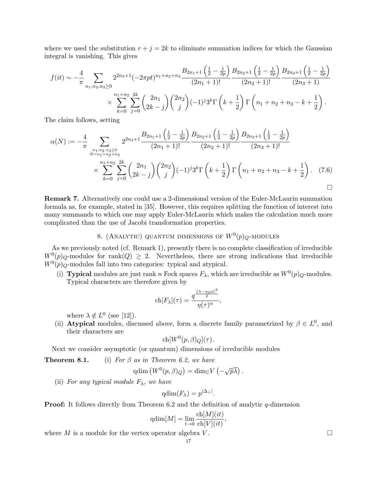where we used the substitution  $r + j = 2k$  to eliminate summation indices for which the Gaussian integral is vanishing. This gives

$$
f(it) \sim -\frac{4}{\pi} \sum_{n_1, n_2, n_3 \ge 0} 2^{2n_3+1} (-2\pi pt)^{n_1+n_2+n_3} \frac{B_{2n_1+1} \left(\frac{1}{2} - \frac{1}{2p}\right) B_{2n_2+1} \left(\frac{1}{2} - \frac{1}{2p}\right) B_{2n_3+1} \left(\frac{1}{2} - \frac{1}{2p}\right)}{(2n_2+1)!} \times \sum_{k=0}^{n_1+n_2} \sum_{j=0}^{2k} {2n_1 \choose 2k-j} {2n_2 \choose j} (-1)^j 3^k \Gamma\left(k+\frac{1}{2}\right) \Gamma\left(n_1+n_2+n_3-k+\frac{1}{2}\right).
$$

The claim follows, setting

$$
\alpha(N) := -\frac{4}{\pi} \sum_{\substack{n_1, n_2, n_3 \ge 0 \\ n = n_1 + n_2 + n_3}} 2^{2n_3 + 1} \frac{B_{2n_1 + 1} \left(\frac{1}{2} - \frac{1}{2p}\right) B_{2n_2 + 1} \left(\frac{1}{2} - \frac{1}{2p}\right) B_{2n_3 + 1} \left(\frac{1}{2} - \frac{1}{2p}\right)}{(2n_3 + 1)!}
$$
  
 
$$
\times \sum_{k=0}^{n_1 + n_2} \sum_{j=0}^{2k} {2n_1 \choose 2k - j} {2n_2 \choose j} (-1)^j 3^k \Gamma\left(k + \frac{1}{2}\right) \Gamma\left(n_1 + n_2 + n_3 - k + \frac{1}{2}\right). \tag{7.6}
$$

Remark 7. Alternatively one could use a 2-dimensional version of the Euler-McLaurin summation formula as, for example, stated in [35]. However, this requires splitting the function of interest into many summands to which one may apply Euler-McLaurin which makes the calculation much more complicated than the use of Jacobi transformation properties.

# 8. (ANALYTIC) QUANTUM DIMENSIONS OF  $W^0(p)_Q$ -MODULES

As we previously noted (cf. Remark 1), presently there is no complete classification of irreducible  $W^0(p)_{Q}$ -modules for rank $(Q) \geq 2$ . Nevertheless, there are strong indications that irreducible  $W^0(p)_{Q}$ -modules fall into two categories: typical and atypical.

(i) **Typical** modules are just rank n Fock spaces  $F_{\lambda}$ , which are irreducible as  $W^0(p)_{Q}$ -modules. Typical characters are therefore given by

$$
\text{ch}[F_{\lambda}](\tau)=\frac{q^{\frac{||\lambda-\alpha_0\rho||^2}{2}}}{\eta(\tau)^n},
$$

where  $\lambda \notin L^0$  (see [12]).

(ii) **Atypical** modules, discussed above, form a discrete family parametrized by  $\beta \in L^0$ , and their characters are

$$
ch[W^0(p,\beta)_Q](\tau).
$$

Next we consider asymptotic (or quantum) dimensions of irreducible modules

**Theorem 8.1.** (i) For  $\beta$  as in Theorem 6.2, we have

$$
\mathrm{qdim} \left( W^0(p, \beta)_Q \right) = \mathrm{dim}_{\mathbb{C}} V \left( -\sqrt{p}\overline{\lambda} \right).
$$

(ii) For any typical module  $F_{\lambda}$ , we have

$$
\mathrm{qdim}(F_{\lambda}) = p^{|\Delta_{+}|}.
$$

**Proof:** It follows directly from Theorem 6.2 and the definition of analytic q-dimension

$$
\mathrm{qdim}[M] = \lim_{t \to 0} \frac{\mathrm{ch}[M](it)}{\mathrm{ch}[V](it)},
$$

where M is a module for the vertex operator algebra V.  $\Box$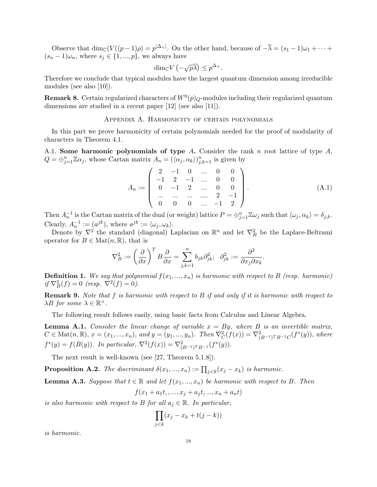Observe that  $\dim_{\mathbb{C}}(V((p-1)\rho) = p^{|\Delta_+|})$ . On the other hand, because of  $-\overline{\lambda} = (s_1 - 1)\omega_1 + \cdots$  $(s_n - 1)\omega_n$ , where  $s_j \in \{1, ..., p\}$ , we always have

$$
\dim_{\mathbb{C}} V\left(-\sqrt{p}\overline{\lambda}\right) \leq p^{\Delta_+}.
$$

Therefore we conclude that typical modules have the largest quantum dimension among irreducible modules (see also [10]).

**Remark 8.** Certain regularized characters of  $W^0(p)_Q$ -modules including their regularized quantum dimensions are studied in a recent paper [12] (see also [11]).

## Appendix A. Harmonicity of certain polynomials

In this part we prove harmonicity of certain polynomials needed for the proof of modularity of characters in Theorem 4.1.

A.1. Some harmonic polynomials of type  $A$ . Consider the rank  $n$  root lattice of type  $A$ ,  $Q = \bigoplus_{j=1}^n \mathbb{Z} \alpha_j$ , whose Cartan matrix  $A_n = (\langle \alpha_j, \alpha_k \rangle)_{j,k=1}^n$  is given by

$$
A_n := \left( \begin{array}{cccccc} 2 & -1 & 0 & \dots & 0 & 0 \\ -1 & 2 & -1 & \dots & 0 & 0 \\ 0 & -1 & 2 & \dots & 0 & 0 \\ \dots & \dots & \dots & \dots & 2 & -1 \\ 0 & 0 & 0 & \dots & -1 & 2 \end{array} \right).
$$
 (A.1)

Then  $A_n^{-1}$  is the Cartan matrix of the dual (or weight) lattice  $P = \bigoplus_{j=1}^n \mathbb{Z} \omega_j$  such that  $\langle \omega_j, \alpha_k \rangle = \delta_{j,k}$ . Clearly,  $A_n^{-1} := (a^{jk})$ , where  $a^{jk} := \langle \omega_j, \omega_k \rangle$ .

Denote by  $\nabla^2$  the standard (diagonal) Laplacian on  $\mathbb{R}^n$  and let  $\nabla^2_B$  be the Laplace-Beltrami operator for  $B \in \mathrm{Mat}(n,\mathbb{R})$ , that is

$$
\nabla_B^2:=\left(\frac{\partial}{\partial x}\right)^TB\frac{\partial}{\partial x}=\sum_{j,k=1}^nb_{jk}\partial^2_{jk};\ \ \partial^2_{jk}:=\frac{\partial^2}{\partial x_j\partial x_k}.
$$

**Definition 1.** We say that polynomial  $f(x_1, ..., x_n)$  is harmonic with respect to B (resp. harmonic) if  $\nabla_B^2(f) = 0$  (resp.  $\nabla^2(f) = 0$ ).

**Remark 9.** Note that  $f$  is harmonic with respect to  $B$  if and only if it is harmonic with respect to  $\lambda B$  for some  $\lambda \in \mathbb{R}^{\times}$ .

The following result follows easily, using basic facts from Calculus and Linear Algebra.

**Lemma A.1.** Consider the linear change of variable  $x = By$ , where B is an invertible matrix,  $C \in \text{Mat}(n, \mathbb{R}), x = (x_1, ..., x_n), \text{ and } y = (y_1, ..., y_n).$  Then  $\nabla_C^2(f(x)) = \nabla_{(B^{-1})^T B^{-1}C}^2(f^*(y)),$  where  $f^*(y) = f(B(y))$ . In particular,  $\nabla^2(f(x)) = \nabla^2_{(B^{-1})^T B^{-1}}(f^*(y))$ .

The next result is well-known (see [27, Theorem 5.1.8]).

**Proposition A.2.** The discriminant  $\delta(x_1, ..., x_n) := \prod_{j < k} (x_j - x_k)$  is harmonic.

**Lemma A.3.** Suppose that  $t \in \mathbb{R}$  and let  $f(x_1, ..., x_n)$  be harmonic with respect to B. Then

$$
f(x_1 + a_1t, \ldots, x_j + a_jt, \ldots, x_n + a_nt)
$$

is also harmonic with respect to B for all  $a_i \in \mathbb{R}$ . In particular,

$$
\prod_{j < k} (x_j - x_k + t(j - k))
$$

is harmonic.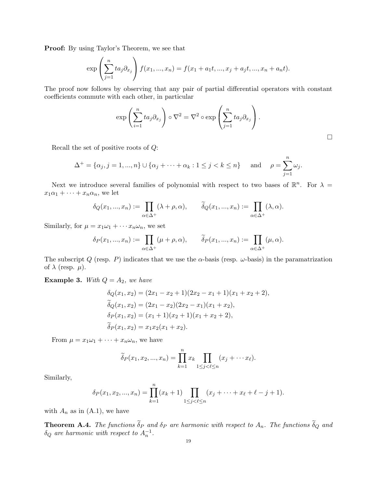Proof: By using Taylor's Theorem, we see that

$$
\exp\left(\sum_{j=1}^n ta_j\partial_{x_j}\right)f(x_1,...,x_n) = f(x_1 + a_1t,...,x_j + a_jt,...,x_n + a_nt).
$$

The proof now follows by observing that any pair of partial differential operators with constant coefficients commute with each other, in particular

$$
\exp\left(\sum_{i=1}^n ta_j\partial_{x_j}\right)\circ\nabla^2=\nabla^2\circ\exp\left(\sum_{j=1}^n ta_j\partial_{x_j}\right).
$$

 $\Box$ 

Recall the set of positive roots of Q:

$$
\Delta^+ = \{\alpha_j, j = 1, ..., n\} \cup \{\alpha_j + \dots + \alpha_k : 1 \le j < k \le n\} \quad \text{and} \quad \rho = \sum_{j=1}^n \omega_j.
$$

Next we introduce several families of polynomial with respect to two bases of  $\mathbb{R}^n$ . For  $\lambda =$  $x_1\alpha_1 + \cdots + x_n\alpha_n$ , we let

$$
\delta_Q(x_1, ..., x_n) := \prod_{\alpha \in \Delta^+} (\lambda + \rho, \alpha), \qquad \widetilde{\delta}_Q(x_1, ..., x_n) := \prod_{\alpha \in \Delta^+} (\lambda, \alpha).
$$

Similarly, for  $\mu = x_1 \omega_1 + \cdots x_n \omega_n$ , we set

$$
\delta_P(x_1, ..., x_n) := \prod_{\alpha \in \Delta^+} (\mu + \rho, \alpha), \qquad \widetilde{\delta}_P(x_1, ..., x_n) := \prod_{\alpha \in \Delta^+} (\mu, \alpha).
$$

The subscript Q (resp. P) indicates that we use the  $\alpha$ -basis (resp.  $\omega$ -basis) in the paramatrization of  $\lambda$  (resp.  $\mu$ ).

**Example 3.** With  $Q = A_2$ , we have

$$
\delta_Q(x_1, x_2) = (2x_1 - x_2 + 1)(2x_2 - x_1 + 1)(x_1 + x_2 + 2),
$$
  
\n
$$
\delta_Q(x_1, x_2) = (2x_1 - x_2)(2x_2 - x_1)(x_1 + x_2),
$$
  
\n
$$
\delta_P(x_1, x_2) = (x_1 + 1)(x_2 + 1)(x_1 + x_2 + 2),
$$
  
\n
$$
\delta_P(x_1, x_2) = x_1 x_2 (x_1 + x_2).
$$

From  $\mu = x_1 \omega_1 + \cdots + x_n \omega_n$ , we have

$$
\widetilde{\delta}_P(x_1, x_2, ..., x_n) = \prod_{k=1}^n x_k \prod_{1 \leq j < \ell \leq n} (x_j + \cdots x_\ell).
$$

Similarly,

$$
\delta_P(x_1, x_2, ..., x_n) = \prod_{k=1}^n (x_k + 1) \prod_{1 \le j < \ell \le n} (x_j + \dots + x_\ell + \ell - j + 1).
$$

with  $A_n$  as in  $(A.1)$ , we have

**Theorem A.4.** The functions  $\delta_P$  and  $\delta_P$  are harmonic with respect to  $A_n$ . The functions  $\delta_Q$  and  $\delta_Q$  are harmonic with respect to  $A_n^{-1}$ .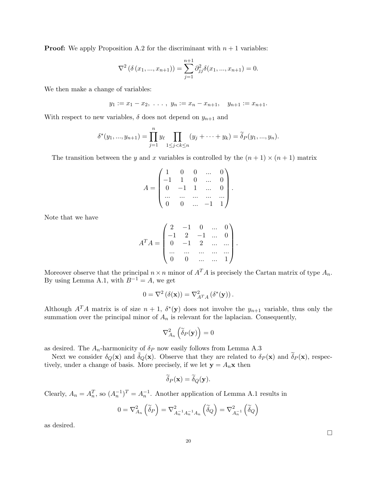**Proof:** We apply Proposition A.2 for the discriminant with  $n + 1$  variables:

$$
\nabla^2 \left( \delta \left( x_1, ..., x_{n+1} \right) \right) = \sum_{j=1}^{n+1} \partial_{jj}^2 \delta(x_1, ..., x_{n+1}) = 0.
$$

We then make a change of variables:

$$
y_1 := x_1 - x_2, \ldots, y_n := x_n - x_{n+1}, \quad y_{n+1} := x_{n+1}.
$$

With respect to new variables,  $\delta$  does not depend on  $y_{n+1}$  and

$$
\delta^*(y_1, ..., y_{n+1}) = \prod_{j=1}^n y_\ell \prod_{1 \le j < k \le n} (y_j + \dots + y_k) = \widetilde{\delta}_P(y_1, ..., y_n).
$$

The transition between the y and x variables is controlled by the  $(n + 1) \times (n + 1)$  matrix

$$
A = \begin{pmatrix} 1 & 0 & 0 & \dots & 0 \\ -1 & 1 & 0 & \dots & 0 \\ 0 & -1 & 1 & \dots & 0 \\ \dots & \dots & \dots & \dots & \dots \\ 0 & 0 & \dots & -1 & 1 \end{pmatrix}.
$$

Note that we have

$$
A^{T}A = \begin{pmatrix} 2 & -1 & 0 & \dots & 0 \\ -1 & 2 & -1 & \dots & 0 \\ 0 & -1 & 2 & \dots & \dots \\ \dots & \dots & \dots & \dots & \dots \\ 0 & 0 & \dots & \dots & 1 \end{pmatrix}.
$$

Moreover observe that the principal  $n \times n$  minor of  $A<sup>T</sup>A$  is precisely the Cartan matrix of type  $A<sub>n</sub>$ . By using Lemma A.1, with  $B^{-1} = A$ , we get

$$
0 = \nabla^2 (\delta(\mathbf{x})) = \nabla^2_{A^T A} (\delta^*(\mathbf{y})).
$$

Although  $A<sup>T</sup>A$  matrix is of size  $n+1$ ,  $\delta^*(y)$  does not involve the  $y_{n+1}$  variable, thus only the summation over the principal minor of  $A_n$  is relevant for the laplacian. Consequently,

$$
\nabla_{A_n}^2\left(\widetilde{\delta}_P(\mathbf{y})\right) = 0
$$

as desired. The  $A_n\text{-harmonicity of }\delta_P$  now easily follows from Lemma A.3

Next we consider  $\delta_Q(\mathbf{x})$  and  $\tilde{\delta}_Q(\mathbf{x})$ . Observe that they are related to  $\delta_P(\mathbf{x})$  and  $\tilde{\delta}_P(\mathbf{x})$ , respectively, under a change of basis. More precisely, if we let  $y = A_n x$  then

$$
\delta_P(\mathbf{x}) = \delta_Q(\mathbf{y}).
$$

Clearly,  $A_n = A_n^T$ , so  $(A_n^{-1})^T = A_n^{-1}$ . Another application of Lemma A.1 results in

$$
0 = \nabla_{A_n}^2 \left( \widetilde{\delta}_P \right) = \nabla_{A_n^{-1} A_n^{-1} A_n}^2 \left( \widetilde{\delta}_Q \right) = \nabla_{A_n^{-1}}^2 \left( \widetilde{\delta}_Q \right)
$$

as desired.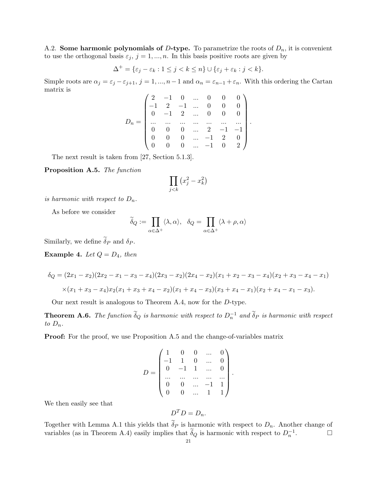A.2. Some harmonic polynomials of D-type. To parametrize the roots of  $D_n$ , it is convenient to use the orthogonal basis  $\varepsilon_j, j = 1, ..., n$ . In this basis positive roots are given by

$$
\Delta^+ = \{\varepsilon_j - \varepsilon_k : 1 \le j < k \le n\} \cup \{\varepsilon_j + \varepsilon_k : j < k\}.
$$

Simple roots are  $\alpha_j = \varepsilon_j - \varepsilon_{j+1}, j = 1, ..., n-1$  and  $\alpha_n = \varepsilon_{n-1} + \varepsilon_n$ . With this ordering the Cartan matrix is

$$
D_n = \begin{pmatrix} 2 & -1 & 0 & \dots & 0 & 0 & 0 \\ -1 & 2 & -1 & \dots & 0 & 0 & 0 \\ 0 & -1 & 2 & \dots & 0 & 0 & 0 \\ \dots & \dots & \dots & \dots & \dots & \dots & \dots \\ 0 & 0 & 0 & \dots & 2 & -1 & -1 \\ 0 & 0 & 0 & \dots & -1 & 2 & 0 \\ 0 & 0 & 0 & \dots & -1 & 0 & 2 \end{pmatrix}
$$

.

The next result is taken from [27, Section 5.1.3].

Proposition A.5. The function

$$
\prod_{j
$$

is harmonic with respect to  $D_n$ .

As before we consider

$$
\widetilde{\delta}_Q := \prod_{\alpha \in \Delta^+} \langle \lambda, \alpha \rangle, \quad \delta_Q = \prod_{\alpha \in \Delta^+} \langle \lambda + \rho, \alpha \rangle
$$

Similarly, we define  $\delta_P$  and  $\delta_P$ .

Example 4. Let  $Q = D_4$ , then

$$
\delta_Q = (2x_1 - x_2)(2x_2 - x_1 - x_3 - x_4)(2x_3 - x_2)(2x_4 - x_2)(x_1 + x_2 - x_3 - x_4)(x_2 + x_3 - x_4 - x_1)
$$
  
 
$$
\times (x_1 + x_3 - x_4)x_2(x_1 + x_3 + x_4 - x_2)(x_1 + x_4 - x_3)(x_3 + x_4 - x_1)(x_2 + x_4 - x_1 - x_3).
$$

Our next result is analogous to Theorem A.4, now for the D-type.

**Theorem A.6.** The function  $\tilde{\delta}_Q$  is harmonic with respect to  $D_n^{-1}$  and  $\tilde{\delta}_P$  is harmonic with respect to  $D_n$ .

Proof: For the proof, we use Proposition A.5 and the change-of-variables matrix

$$
D = \begin{pmatrix} 1 & 0 & 0 & \dots & 0 \\ -1 & 1 & 0 & \dots & 0 \\ 0 & -1 & 1 & \dots & 0 \\ \dots & \dots & \dots & \dots & \dots \\ 0 & 0 & \dots & -1 & 1 \\ 0 & 0 & \dots & 1 & 1 \end{pmatrix}
$$

.

We then easily see that

$$
D^T D = D_n.
$$

Together with Lemma A.1 this yields that  $\delta_P$  is harmonic with respect to  $D_n$ . Another change of variables (as in Theorem A.4) easily implies that  $\tilde{\delta}_Q$  is harmonic with respect to  $D_n^{-1}$  $\Box$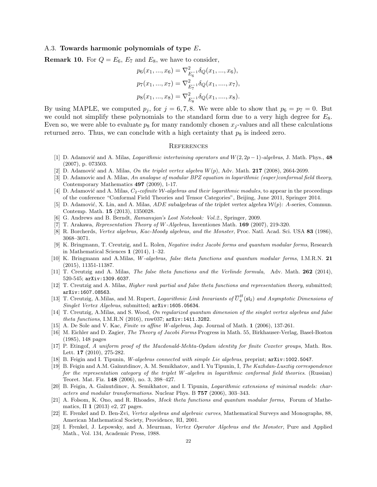### A.3. Towards harmonic polynomials of type  $E$ .

**Remark 10.** For  $Q = E_6$ ,  $E_7$  and  $E_8$ , we have to consider,

$$
p_6(x_1, ..., x_6) = \nabla_{E_6^{-1}}^2 \delta_Q(x_1, ..., x_6),
$$
  
\n
$$
p_7(x_1, ..., x_7) = \nabla_{E_7^{-1}}^2 \delta_Q(x_1, ..., x_7),
$$
  
\n
$$
p_8(x_1, ..., x_8) = \nabla_{E_8^{-1}}^2 \delta_Q(x_1, ..., x_8).
$$

By using MAPLE, we computed  $p_j$ , for  $j = 6, 7, 8$ . We were able to show that  $p_6 = p_7 = 0$ . But we could not simplify these polynomials to the standard form due to a very high degree for  $E_8$ . Even so, we were able to evaluate  $p_8$  for many randomly chosen  $x_j$ -values and all these calculations returned zero. Thus, we can conclude with a high certainty that  $p_8$  is indeed zero.

### **REFERENCES**

- [1] D. Adamović and A. Milas, Logarithmic intertwining operators and  $W(2, 2p 1)$ -algebras, J. Math. Phys., 48 (2007), p. 073503.
- [2] D. Adamović and A. Milas, On the triplet vertex algebra  $W(p)$ , Adv. Math. 217 (2008), 2664-2699.
- [3] D. Adamovic and A. Milas, An analogue of modular BPZ equation in logarithmic (super)conformal field theory, Contemporary Mathematics 497 (2009), 1-17.
- [4] D. Adamović and A. Milas,  $C_2$ -cofinite W-algebras and their logarithmic modules, to appear in the proceedings of the conference "Conformal Field Theories and Tensor Categories", Beijing, June 2011, Springer 2014.
- [5] D. Adamović, X. Lin, and A. Milas, *ADE* subalgebras of the triplet vertex algebra  $W(p)$ : A-series, Commun. Contemp. Math. 15 (2013), 1350028.
- [6] G. Andrews and B. Berndt, Ramanujan's Lost Notebook: Vol.2., Springer, 2009.
- [7] T. Arakawa, Representation Theory of W-Algebras, Inventiones Math. 169 (2007), 219-320.
- [8] R. Borcherds, Vertex algebras, Kac-Moody algebras, and the Monster, Proc. Natl. Acad. Sci. USA 83 (1986), 3068–3071.
- [9] K. Bringmann, T. Creutzig, and L. Rolen, Negative index Jacobi forms and quantum modular forms, Research in Mathematical Sciences 1 (2014), 1–32.
- [10] K. Bringmann and A.Milas, W-algebras, false theta functions and quantum modular forms, I.M.R.N. 21 (2015), 11351-11387.
- [11] T. Creutzig and A. Milas, The false theta functions and the Verlinde formula, Adv. Math. 262 (2014), 520-545; arXiv:1309.6037.
- [12] T. Creutzig and A. Milas, *Higher rank partial and false theta functions and representation theory*, submitted; arXiv:1607.08563.
- [13] T. Creutzig, A.Milas, and M. Rupert, *Logarithmic Link Invariants of*  $\overline{U}_q^H(\mathfrak{sl}_2)$  and Asymptotic Dimensions of Singlet Vertex Algebras, submitted; arXiv:1605.05634.
- [14] T. Creutzig, A.Milas, and S. Wood, On regularized quantum dimension of the singlet vertex algebras and false theta functions, I.M.R.N (2016), rnw037; arXiv:1411.3282.
- [15] A. De Sole and V. Kac, Finite vs affine W-algebras, Jap. Journal of Math. 1 (2006), 137-261.
- [16] M. Eichler and D. Zagier, The Theory of Jacobi Forms Progress in Math. 55, Birkhauser-Verlag, Basel-Boston (1985), 148 pages
- [17] P. Etingof, A uniform proof of the Macdonald-Mehta-Opdam identity for finite Coxeter groups, Math. Res. Lett. 17 (2010), 275-282.
- [18] B. Feigin and I. Tipunin, W-algebras connected with simple Lie algebras, preprint;  $arXiv:1002.5047$ .
- [19] B. Feigin and A.M. Gaĭnutdinov, A.M. Semikhatov, and I. Yu Tipunin, I, The Kazhdan-Lusztig correspondence for the representation category of the triplet W-algebra in logarithmic conformal field theories. (Russian) Teoret. Mat. Fiz. 148 (2006), no. 3, 398–427.
- [20] B. Feigin, A. Gaŭnutdinov, A. Semikhatov, and I. Tipunin, *Logarithmic extensions of minimal models: char*acters and modular transformations. Nuclear Phys. B 757 (2006), 303–343.
- [21] A. Folsom, K. Ono, and R. Rhoades, Mock theta functions and quantum modular forms, Forum of Mathematics,  $\Pi$  1 (2013) e2, 27 pages.
- [22] E. Frenkel and D. Ben-Zvi, Vertex algebras and algebraic curves, Mathematical Surveys and Monographs, 88, American Mathematical Society, Providence, RI, 2001.
- [23] I. Frenkel, J. Lepowsky, and A. Meurman, Vertex Operator Algebras and the Monster, Pure and Applied Math., Vol. 134, Academic Press, 1988.